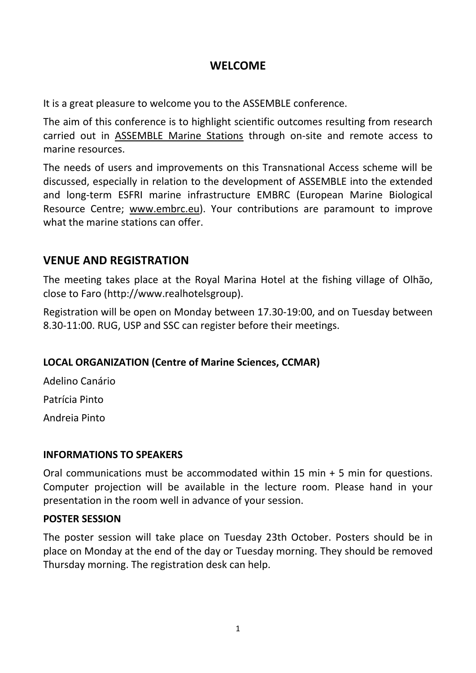# **WELCOME**

It is a great pleasure to welcome you to the ASSEMBLE conference.

The aim of this conference is to highlight scientific outcomes resulting from research carried out in [ASSEMBLE Marine Stations](http://www.assemblemarine.org/the-infrastructure-sites/) through on-site and remote access to marine resources.

The needs of users and improvements on this Transnational Access scheme will be discussed, especially in relation to the development of ASSEMBLE into the extended and long-term ESFRI marine infrastructure EMBRC (European Marine Biological Resource Centre; [www.embrc.eu\)](http://www.embrc.eu/). Your contributions are paramount to improve what the marine stations can offer.

# **VENUE AND REGISTRATION**

The meeting takes place at the Royal Marina Hotel at the fishing village of Olhão, close to Faro (http://www.realhotelsgroup).

Registration will be open on Monday between 17.30-19:00, and on Tuesday between 8.30-11:00. RUG, USP and SSC can register before their meetings.

# **LOCAL ORGANIZATION (Centre of Marine Sciences, CCMAR)**

Adelino Canário Patrícia Pinto

Andreia Pinto

#### **INFORMATIONS TO SPEAKERS**

Oral communications must be accommodated within 15 min + 5 min for questions. Computer projection will be available in the lecture room. Please hand in your presentation in the room well in advance of your session.

# **POSTER SESSION**

The poster session will take place on Tuesday 23th October. Posters should be in place on Monday at the end of the day or Tuesday morning. They should be removed Thursday morning. The registration desk can help.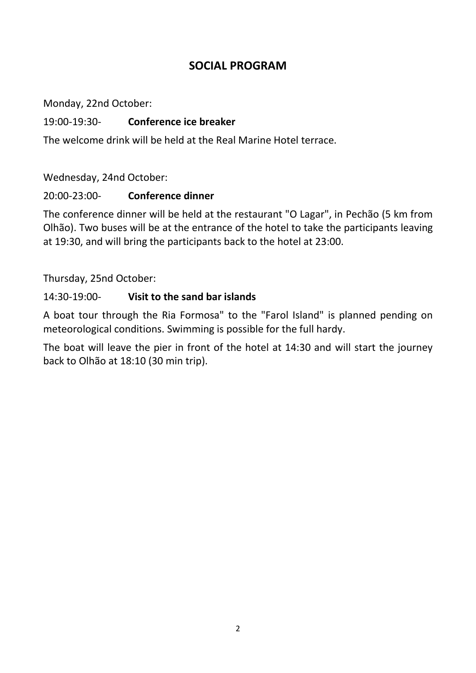# **SOCIAL PROGRAM**

Monday, 22nd October:

#### 19:00-19:30- **Conference ice breaker**

The welcome drink will be held at the Real Marine Hotel terrace.

Wednesday, 24nd October:

#### 20:00-23:00- **Conference dinner**

The conference dinner will be held at the restaurant "O Lagar", in Pechão (5 km from Olhão). Two buses will be at the entrance of the hotel to take the participants leaving at 19:30, and will bring the participants back to the hotel at 23:00.

Thursday, 25nd October:

### 14:30-19:00- **Visit to the sand bar islands**

A boat tour through the Ria Formosa" to the "Farol Island" is planned pending on meteorological conditions. Swimming is possible for the full hardy.

The boat will leave the pier in front of the hotel at 14:30 and will start the journey back to Olhão at 18:10 (30 min trip).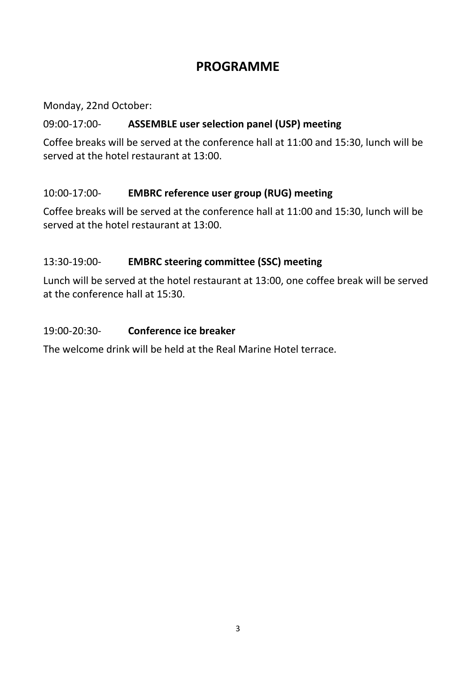# **PROGRAMME**

Monday, 22nd October:

# 09:00-17:00- **ASSEMBLE user selection panel (USP) meeting**

Coffee breaks will be served at the conference hall at 11:00 and 15:30, lunch will be served at the hotel restaurant at 13:00.

# 10:00-17:00- **EMBRC reference user group (RUG) meeting**

Coffee breaks will be served at the conference hall at 11:00 and 15:30, lunch will be served at the hotel restaurant at 13:00.

# 13:30-19:00- **EMBRC steering committee (SSC) meeting**

Lunch will be served at the hotel restaurant at 13:00, one coffee break will be served at the conference hall at 15:30.

# 19:00-20:30- **Conference ice breaker**

The welcome drink will be held at the Real Marine Hotel terrace.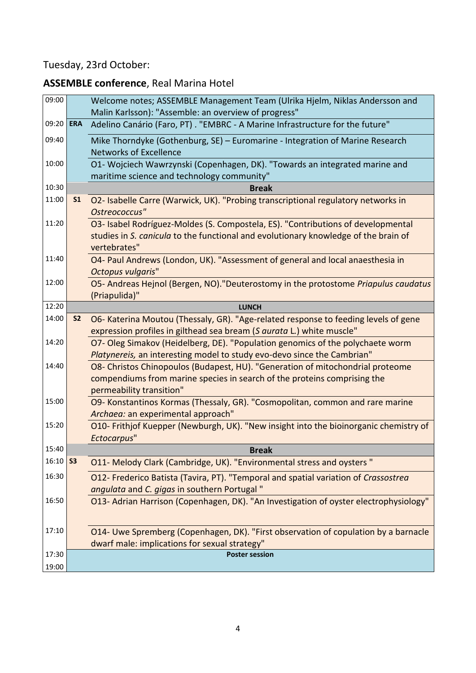# Tuesday, 23rd October:

# **ASSEMBLE conference**, Real Marina Hotel

| 09:00 |                | Welcome notes; ASSEMBLE Management Team (Ulrika Hjelm, Niklas Andersson and<br>Malin Karlsson): "Assemble: an overview of progress"                                                     |
|-------|----------------|-----------------------------------------------------------------------------------------------------------------------------------------------------------------------------------------|
| 09:20 | <b>ERA</b>     | Adelino Canário (Faro, PT) . "EMBRC - A Marine Infrastructure for the future"                                                                                                           |
| 09:40 |                | Mike Thorndyke (Gothenburg, SE) – Euromarine - Integration of Marine Research<br><b>Networks of Excellence</b>                                                                          |
| 10:00 |                | O1- Wojciech Wawrzynski (Copenhagen, DK). "Towards an integrated marine and<br>maritime science and technology community"                                                               |
| 10:30 |                | <b>Break</b>                                                                                                                                                                            |
| 11:00 | S <sub>1</sub> | O2- Isabelle Carre (Warwick, UK). "Probing transcriptional regulatory networks in<br>Ostreococcus"                                                                                      |
| 11:20 |                | O3- Isabel Rodríguez-Moldes (S. Compostela, ES). "Contributions of developmental<br>studies in S. canicula to the functional and evolutionary knowledge of the brain of<br>vertebrates" |
| 11:40 |                | O4- Paul Andrews (London, UK). "Assessment of general and local anaesthesia in<br>Octopus vulgaris"                                                                                     |
| 12:00 |                | O5- Andreas Hejnol (Bergen, NO). "Deuterostomy in the protostome Priapulus caudatus<br>(Priapulida)"                                                                                    |
| 12:20 |                | <b>LUNCH</b>                                                                                                                                                                            |
| 14:00 | <b>S2</b>      | O6- Katerina Moutou (Thessaly, GR). "Age-related response to feeding levels of gene<br>expression profiles in gilthead sea bream (S aurata L.) white muscle"                            |
| 14:20 |                | O7- Oleg Simakov (Heidelberg, DE). "Population genomics of the polychaete worm<br>Platynereis, an interesting model to study evo-devo since the Cambrian"                               |
| 14:40 |                | O8- Christos Chinopoulos (Budapest, HU). "Generation of mitochondrial proteome<br>compendiums from marine species in search of the proteins comprising the<br>permeability transition"  |
| 15:00 |                | O9- Konstantinos Kormas (Thessaly, GR). "Cosmopolitan, common and rare marine<br>Archaea: an experimental approach"                                                                     |
| 15:20 |                | O10- Frithjof Kuepper (Newburgh, UK). "New insight into the bioinorganic chemistry of<br>Ectocarpus"                                                                                    |
| 15:40 |                | <b>Break</b>                                                                                                                                                                            |
| 16:10 | S3             | O11- Melody Clark (Cambridge, UK). "Environmental stress and oysters"                                                                                                                   |
| 16:30 |                | O12- Frederico Batista (Tavira, PT). "Temporal and spatial variation of Crassostrea<br>angulata and C. gigas in southern Portugal"                                                      |
| 16:50 |                | O13- Adrian Harrison (Copenhagen, DK). "An Investigation of oyster electrophysiology"                                                                                                   |
| 17:10 |                | O14- Uwe Spremberg (Copenhagen, DK). "First observation of copulation by a barnacle<br>dwarf male: implications for sexual strategy"                                                    |
| 17:30 |                | <b>Poster session</b>                                                                                                                                                                   |
| 19:00 |                |                                                                                                                                                                                         |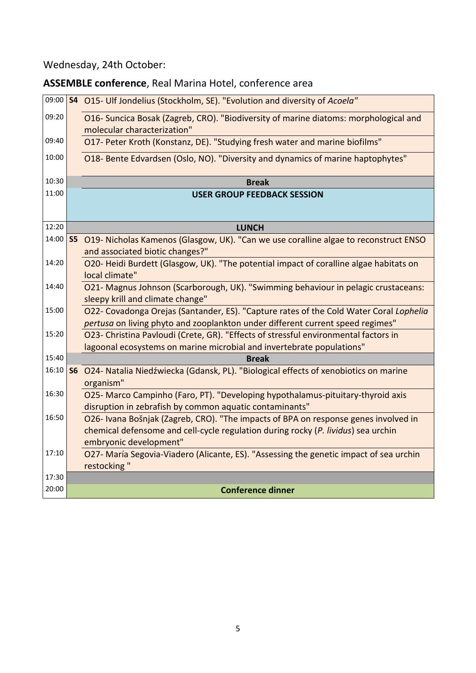# Wednesday, 24th October:

# **ASSEMBLE conference**, Real Marina Hotel, conference area

| 09:00 |                | S4 O15- Ulf Jondelius (Stockholm, SE). "Evolution and diversity of Acoela"                                              |
|-------|----------------|-------------------------------------------------------------------------------------------------------------------------|
| 09:20 |                | O16- Suncica Bosak (Zagreb, CRO). "Biodiversity of marine diatoms: morphological and<br>molecular characterization"     |
| 09:40 |                | O17- Peter Kroth (Konstanz, DE). "Studying fresh water and marine biofilms"                                             |
| 10:00 |                | O18- Bente Edvardsen (Oslo, NO). "Diversity and dynamics of marine haptophytes"                                         |
| 10:30 |                | <b>Break</b>                                                                                                            |
| 11:00 |                | <b>USER GROUP FEEDBACK SESSION</b>                                                                                      |
|       |                |                                                                                                                         |
| 12:20 |                | <b>LUNCH</b>                                                                                                            |
| 14:00 | S <sub>5</sub> | O19- Nicholas Kamenos (Glasgow, UK). "Can we use coralline algae to reconstruct ENSO<br>and associated biotic changes?" |
| 14:20 |                | O20- Heidi Burdett (Glasgow, UK). "The potential impact of coralline algae habitats on                                  |
|       |                | local climate"                                                                                                          |
| 14:40 |                | O21- Magnus Johnson (Scarborough, UK). "Swimming behaviour in pelagic crustaceans:                                      |
|       |                | sleepy krill and climate change"                                                                                        |
| 15:00 |                | O22- Covadonga Orejas (Santander, ES). "Capture rates of the Cold Water Coral Lophelia                                  |
|       |                | pertusa on living phyto and zooplankton under different current speed regimes"                                          |
| 15:20 |                | O23- Christina Pavloudi (Crete, GR). "Effects of stressful environmental factors in                                     |
| 15:40 |                | lagoonal ecosystems on marine microbial and invertebrate populations"                                                   |
| 16:10 |                | <b>Break</b>                                                                                                            |
|       | <b>S6</b>      | O24- Natalia Niedźwiecka (Gdansk, PL). "Biological effects of xenobiotics on marine<br>organism"                        |
| 16:30 |                | O25- Marco Campinho (Faro, PT). "Developing hypothalamus-pituitary-thyroid axis                                         |
|       |                | disruption in zebrafish by common aquatic contaminants"                                                                 |
| 16:50 |                | O26- Ivana Bošnjak (Zagreb, CRO). "The impacts of BPA on response genes involved in                                     |
|       |                | chemical defensome and cell-cycle regulation during rocky (P. lividus) sea urchin                                       |
|       |                | embryonic development"                                                                                                  |
| 17:10 |                | O27- María Segovia-Viadero (Alicante, ES). "Assessing the genetic impact of sea urchin                                  |
|       |                | restocking"                                                                                                             |
| 17:30 |                |                                                                                                                         |
| 20:00 |                | <b>Conference dinner</b>                                                                                                |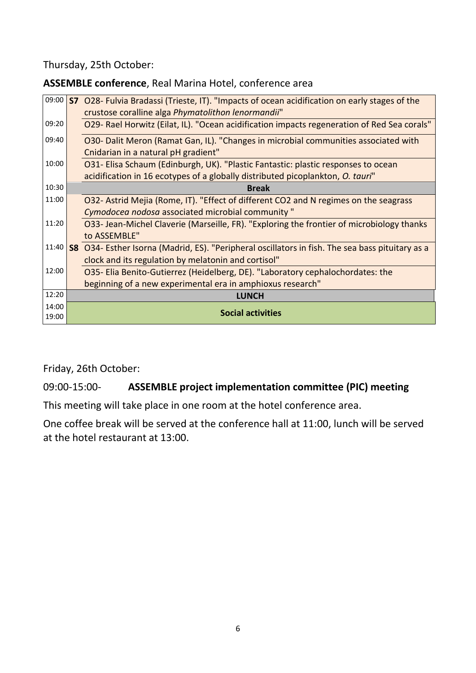Thursday, 25th October:

**ASSEMBLE conference**, Real Marina Hotel, conference area

| 09:00 | S <sub>7</sub> | O28- Fulvia Bradassi (Trieste, IT). "Impacts of ocean acidification on early stages of the       |
|-------|----------------|--------------------------------------------------------------------------------------------------|
|       |                | crustose coralline alga Phymatolithon lenormandii"                                               |
| 09:20 |                | O29- Rael Horwitz (Eilat, IL). "Ocean acidification impacts regeneration of Red Sea corals"      |
| 09:40 |                | O30- Dalit Meron (Ramat Gan, IL). "Changes in microbial communities associated with              |
|       |                | Cnidarian in a natural pH gradient"                                                              |
| 10:00 |                | O31- Elisa Schaum (Edinburgh, UK). "Plastic Fantastic: plastic responses to ocean                |
|       |                | acidification in 16 ecotypes of a globally distributed picoplankton, O. tauri"                   |
| 10:30 |                | <b>Break</b>                                                                                     |
| 11:00 |                | O32- Astrid Mejia (Rome, IT). "Effect of different CO2 and N regimes on the seagrass             |
|       |                | Cymodocea nodosa associated microbial community"                                                 |
| 11:20 |                | O33- Jean-Michel Claverie (Marseille, FR). "Exploring the frontier of microbiology thanks        |
|       |                | to ASSEMBLE"                                                                                     |
| 11:40 |                | S8 O34- Esther Isorna (Madrid, ES). "Peripheral oscillators in fish. The sea bass pituitary as a |
|       |                | clock and its regulation by melatonin and cortisol"                                              |
| 12:00 |                | O35- Elia Benito-Gutierrez (Heidelberg, DE). "Laboratory cephalochordates: the                   |
|       |                | beginning of a new experimental era in amphioxus research"                                       |
| 12:20 |                | <b>LUNCH</b>                                                                                     |
| 14:00 |                | <b>Social activities</b>                                                                         |
| 19:00 |                |                                                                                                  |

Friday, 26th October:

09:00-15:00- **ASSEMBLE project implementation committee (PIC) meeting**

This meeting will take place in one room at the hotel conference area.

One coffee break will be served at the conference hall at 11:00, lunch will be served at the hotel restaurant at 13:00.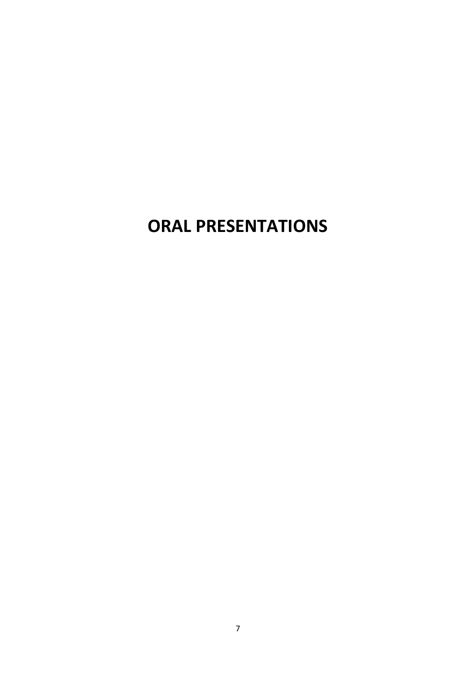# **ORAL PRESENTATIONS**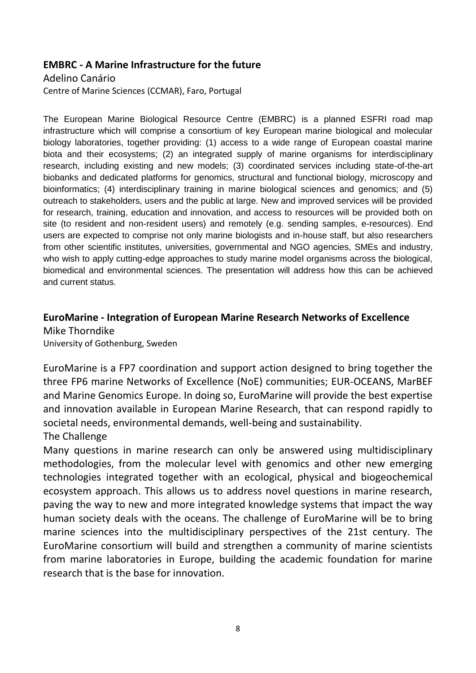#### **EMBRC - A Marine Infrastructure for the future**

Adelino Canário Centre of Marine Sciences (CCMAR), Faro, Portugal

The European Marine Biological Resource Centre (EMBRC) is a planned ESFRI road map infrastructure which will comprise a consortium of key European marine biological and molecular biology laboratories, together providing: (1) access to a wide range of European coastal marine biota and their ecosystems; (2) an integrated supply of marine organisms for interdisciplinary research, including existing and new models; (3) coordinated services including state-of-the-art biobanks and dedicated platforms for genomics, structural and functional biology, microscopy and bioinformatics; (4) interdisciplinary training in marine biological sciences and genomics; and (5) outreach to stakeholders, users and the public at large. New and improved services will be provided for research, training, education and innovation, and access to resources will be provided both on site (to resident and non-resident users) and remotely (e.g. sending samples, e-resources). End users are expected to comprise not only marine biologists and in-house staff, but also researchers from other scientific institutes, universities, governmental and NGO agencies, SMEs and industry, who wish to apply cutting-edge approaches to study marine model organisms across the biological, biomedical and environmental sciences. The presentation will address how this can be achieved and current status.

# **EuroMarine - Integration of European Marine Research Networks of Excellence**  Mike Thorndike

University of Gothenburg, Sweden

EuroMarine is a FP7 coordination and support action designed to bring together the three FP6 marine Networks of Excellence (NoE) communities; EUR-OCEANS, MarBEF and Marine Genomics Europe. In doing so, EuroMarine will provide the best expertise and innovation available in European Marine Research, that can respond rapidly to societal needs, environmental demands, well-being and sustainability.

#### The Challenge

Many questions in marine research can only be answered using multidisciplinary methodologies, from the molecular level with genomics and other new emerging technologies integrated together with an ecological, physical and biogeochemical ecosystem approach. This allows us to address novel questions in marine research, paving the way to new and more integrated knowledge systems that impact the way human society deals with the oceans. The challenge of EuroMarine will be to bring marine sciences into the multidisciplinary perspectives of the 21st century. The EuroMarine consortium will build and strengthen a community of marine scientists from marine laboratories in Europe, building the academic foundation for marine research that is the base for innovation.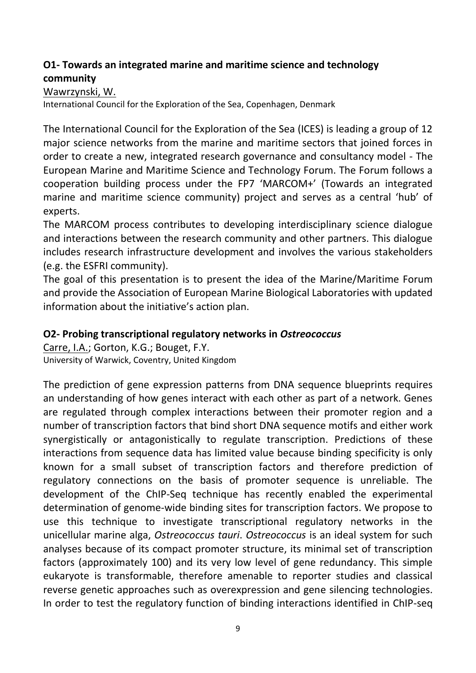# **O1- Towards an integrated marine and maritime science and technology community**

Wawrzynski, W.

International Council for the Exploration of the Sea, Copenhagen, Denmark

The International Council for the Exploration of the Sea (ICES) is leading a group of 12 major science networks from the marine and maritime sectors that joined forces in order to create a new, integrated research governance and consultancy model - The European Marine and Maritime Science and Technology Forum. The Forum follows a cooperation building process under the FP7 'MARCOM+' (Towards an integrated marine and maritime science community) project and serves as a central 'hub' of experts.

The MARCOM process contributes to developing interdisciplinary science dialogue and interactions between the research community and other partners. This dialogue includes research infrastructure development and involves the various stakeholders (e.g. the ESFRI community).

The goal of this presentation is to present the idea of the Marine/Maritime Forum and provide the Association of European Marine Biological Laboratories with updated information about the initiative's action plan.

#### **O2- Probing transcriptional regulatory networks in** *Ostreococcus*

Carre, I.A.; Gorton, K.G.; Bouget, F.Y. University of Warwick, Coventry, United Kingdom

The prediction of gene expression patterns from DNA sequence blueprints requires an understanding of how genes interact with each other as part of a network. Genes are regulated through complex interactions between their promoter region and a number of transcription factors that bind short DNA sequence motifs and either work synergistically or antagonistically to regulate transcription. Predictions of these interactions from sequence data has limited value because binding specificity is only known for a small subset of transcription factors and therefore prediction of regulatory connections on the basis of promoter sequence is unreliable. The development of the ChIP-Seq technique has recently enabled the experimental determination of genome-wide binding sites for transcription factors. We propose to use this technique to investigate transcriptional regulatory networks in the unicellular marine alga, *Ostreococcus tauri*. *Ostreococcus* is an ideal system for such analyses because of its compact promoter structure, its minimal set of transcription factors (approximately 100) and its very low level of gene redundancy. This simple eukaryote is transformable, therefore amenable to reporter studies and classical reverse genetic approaches such as overexpression and gene silencing technologies. In order to test the regulatory function of binding interactions identified in ChIP-seq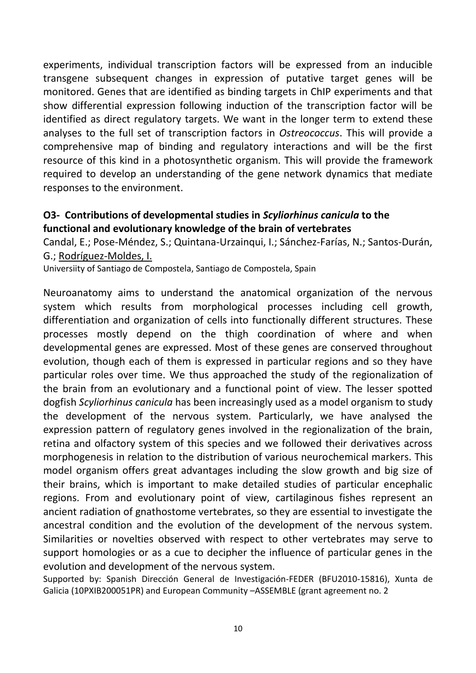experiments, individual transcription factors will be expressed from an inducible transgene subsequent changes in expression of putative target genes will be monitored. Genes that are identified as binding targets in ChIP experiments and that show differential expression following induction of the transcription factor will be identified as direct regulatory targets. We want in the longer term to extend these analyses to the full set of transcription factors in *Ostreococcus*. This will provide a comprehensive map of binding and regulatory interactions and will be the first resource of this kind in a photosynthetic organism. This will provide the framework required to develop an understanding of the gene network dynamics that mediate responses to the environment.

#### **O3- Contributions of developmental studies in** *Scyliorhinus canicula* **to the functional and evolutionary knowledge of the brain of vertebrates**

Candal, E.; Pose-Méndez, S.; Quintana-Urzainqui, I.; Sánchez-Farías, N.; Santos-Durán, G.; Rodríguez-Moldes, I.

Universiity of Santiago de Compostela, Santiago de Compostela, Spain

Neuroanatomy aims to understand the anatomical organization of the nervous system which results from morphological processes including cell growth, differentiation and organization of cells into functionally different structures. These processes mostly depend on the thigh coordination of where and when developmental genes are expressed. Most of these genes are conserved throughout evolution, though each of them is expressed in particular regions and so they have particular roles over time. We thus approached the study of the regionalization of the brain from an evolutionary and a functional point of view. The lesser spotted dogfish *Scyliorhinus canicula* has been increasingly used as a model organism to study the development of the nervous system. Particularly, we have analysed the expression pattern of regulatory genes involved in the regionalization of the brain, retina and olfactory system of this species and we followed their derivatives across morphogenesis in relation to the distribution of various neurochemical markers. This model organism offers great advantages including the slow growth and big size of their brains, which is important to make detailed studies of particular encephalic regions. From and evolutionary point of view, cartilaginous fishes represent an ancient radiation of gnathostome vertebrates, so they are essential to investigate the ancestral condition and the evolution of the development of the nervous system. Similarities or novelties observed with respect to other vertebrates may serve to support homologies or as a cue to decipher the influence of particular genes in the evolution and development of the nervous system.

Supported by: Spanish Dirección General de Investigación-FEDER (BFU2010-15816), Xunta de Galicia (10PXIB200051PR) and European Community –ASSEMBLE (grant agreement no. 2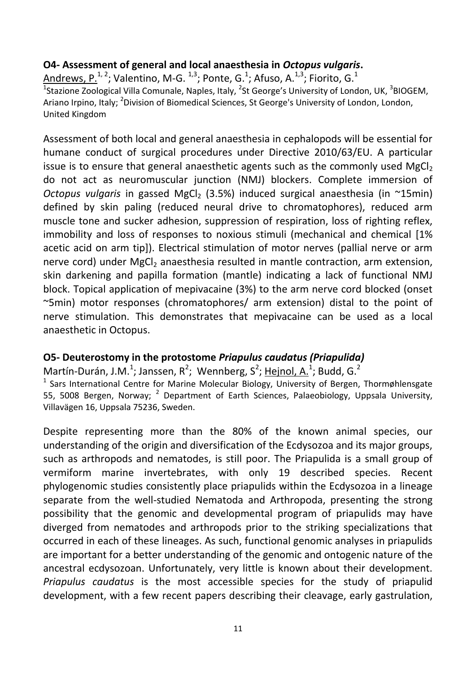### **O4- Assessment of general and local anaesthesia in** *Octopus vulgaris***.**

Andrews, P.<sup>1, 2</sup>; Valentino, M-G. <sup>1,3</sup>; Ponte, G.<sup>1</sup>; Afuso, A.<sup>1,3</sup>; Fiorito, G.<sup>1</sup> <sup>1</sup>Stazione Zoological Villa Comunale, Naples, Italy, <sup>2</sup>St George's University of London, UK, <sup>3</sup>BIOGEM, Ariano Irpino, Italy; <sup>2</sup>Division of Biomedical Sciences, St George's University of London, London, United Kingdom

Assessment of both local and general anaesthesia in cephalopods will be essential for humane conduct of surgical procedures under Directive 2010/63/EU. A particular issue is to ensure that general anaesthetic agents such as the commonly used MgCl<sub>2</sub> do not act as neuromuscular junction (NMJ) blockers. Complete immersion of *Octopus vulgaris* in gassed MgCl<sub>2</sub> (3.5%) induced surgical anaesthesia (in ~15min) defined by skin paling (reduced neural drive to chromatophores), reduced arm muscle tone and sucker adhesion, suppression of respiration, loss of righting reflex, immobility and loss of responses to noxious stimuli (mechanical and chemical [1% acetic acid on arm tip]). Electrical stimulation of motor nerves (pallial nerve or arm nerve cord) under MgCl<sub>2</sub> anaesthesia resulted in mantle contraction, arm extension, skin darkening and papilla formation (mantle) indicating a lack of functional NMJ block. Topical application of mepivacaine (3%) to the arm nerve cord blocked (onset ~5min) motor responses (chromatophores/ arm extension) distal to the point of nerve stimulation. This demonstrates that mepivacaine can be used as a local anaesthetic in Octopus.

#### **O5- Deuterostomy in the protostome** *Priapulus caudatus (Priapulida)*

Martín-Durán, J.M.<sup>1</sup>; Janssen, R<sup>2</sup>; Wennberg, S<sup>2</sup>; Hejnol, A.<sup>1</sup>; Budd, G.<sup>2</sup>

<sup>1</sup> Sars International Centre for Marine Molecular Biology, University of Bergen, Thormøhlensgate 55, 5008 Bergen, Norway; <sup>2</sup> Department of Earth Sciences, Palaeobiology, Uppsala University, Villavägen 16, Uppsala 75236, Sweden.

Despite representing more than the 80% of the known animal species, our understanding of the origin and diversification of the Ecdysozoa and its major groups, such as arthropods and nematodes, is still poor. The Priapulida is a small group of vermiform marine invertebrates, with only 19 described species. Recent phylogenomic studies consistently place priapulids within the Ecdysozoa in a lineage separate from the well-studied Nematoda and Arthropoda, presenting the strong possibility that the genomic and developmental program of priapulids may have diverged from nematodes and arthropods prior to the striking specializations that occurred in each of these lineages. As such, functional genomic analyses in priapulids are important for a better understanding of the genomic and ontogenic nature of the ancestral ecdysozoan. Unfortunately, very little is known about their development. *Priapulus caudatus* is the most accessible species for the study of priapulid development, with a few recent papers describing their cleavage, early gastrulation,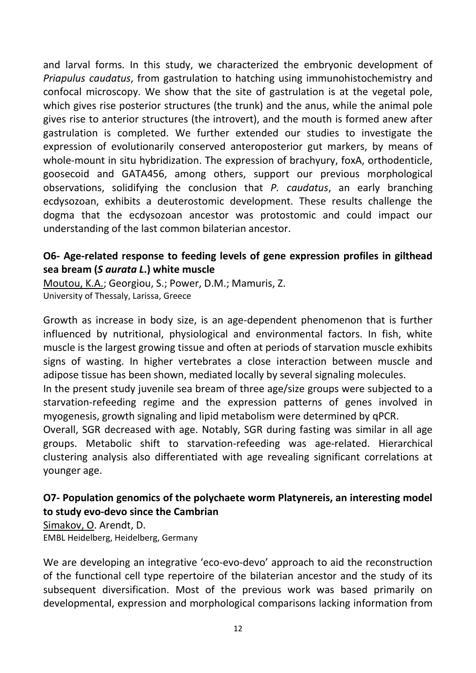and larval forms. In this study, we characterized the embryonic development of *Priapulus caudatus*, from gastrulation to hatching using immunohistochemistry and confocal microscopy. We show that the site of gastrulation is at the vegetal pole, which gives rise posterior structures (the trunk) and the anus, while the animal pole gives rise to anterior structures (the introvert), and the mouth is formed anew after gastrulation is completed. We further extended our studies to investigate the expression of evolutionarily conserved anteroposterior gut markers, by means of whole-mount in situ hybridization. The expression of brachyury, foxA, orthodenticle, goosecoid and GATA456, among others, support our previous morphological observations, solidifying the conclusion that *P. caudatus*, an early branching ecdysozoan, exhibits a deuterostomic development. These results challenge the dogma that the ecdysozoan ancestor was protostomic and could impact our understanding of the last common bilaterian ancestor.

# **O6- Age-related response to feeding levels of gene expression profiles in gilthead sea bream (***S aurata L***.) white muscle**

Moutou, K.A.; Georgiou, S.; Power, D.M.; Mamuris, Z. University of Thessaly, Larissa, Greece

Growth as increase in body size, is an age-dependent phenomenon that is further influenced by nutritional, physiological and environmental factors. In fish, white muscle is the largest growing tissue and often at periods of starvation muscle exhibits signs of wasting. In higher vertebrates a close interaction between muscle and adipose tissue has been shown, mediated locally by several signaling molecules.

In the present study juvenile sea bream of three age/size groups were subjected to a starvation-refeeding regime and the expression patterns of genes involved in myogenesis, growth signaling and lipid metabolism were determined by qPCR.

Overall, SGR decreased with age. Notably, SGR during fasting was similar in all age groups. Metabolic shift to starvation-refeeding was age-related. Hierarchical clustering analysis also differentiated with age revealing significant correlations at younger age.

# **O7- Population genomics of the polychaete worm Platynereis, an interesting model to study evo-devo since the Cambrian**

Simakov, O. Arendt, D. EMBL Heidelberg, Heidelberg, Germany

We are developing an integrative 'eco-evo-devo' approach to aid the reconstruction of the functional cell type repertoire of the bilaterian ancestor and the study of its subsequent diversification. Most of the previous work was based primarily on developmental, expression and morphological comparisons lacking information from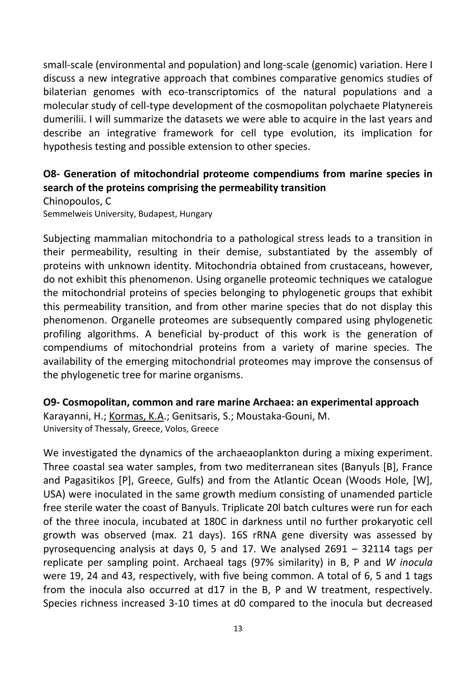small-scale (environmental and population) and long-scale (genomic) variation. Here I discuss a new integrative approach that combines comparative genomics studies of bilaterian genomes with eco-transcriptomics of the natural populations and a molecular study of cell-type development of the cosmopolitan polychaete Platynereis dumerilii. I will summarize the datasets we were able to acquire in the last years and describe an integrative framework for cell type evolution, its implication for hypothesis testing and possible extension to other species.

# **O8- Generation of mitochondrial proteome compendiums from marine species in search of the proteins comprising the permeability transition**

Chinopoulos, C Semmelweis University, Budapest, Hungary

Subjecting mammalian mitochondria to a pathological stress leads to a transition in their permeability, resulting in their demise, substantiated by the assembly of proteins with unknown identity. Mitochondria obtained from crustaceans, however, do not exhibit this phenomenon. Using organelle proteomic techniques we catalogue the mitochondrial proteins of species belonging to phylogenetic groups that exhibit this permeability transition, and from other marine species that do not display this phenomenon. Organelle proteomes are subsequently compared using phylogenetic profiling algorithms. A beneficial by-product of this work is the generation of compendiums of mitochondrial proteins from a variety of marine species. The availability of the emerging mitochondrial proteomes may improve the consensus of the phylogenetic tree for marine organisms.

# **O9- Cosmopolitan, common and rare marine Archaea: an experimental approach**

Karayanni, H.; Kormas, K.A.; Genitsaris, S.; Moustaka-Gouni, M. University of Thessaly, Greece, Volos, Greece

We investigated the dynamics of the archaeaoplankton during a mixing experiment. Three coastal sea water samples, from two mediterranean sites (Banyuls [B], France and Pagasitikos [P], Greece, Gulfs) and from the Atlantic Ocean (Woods Hole, [W], USA) were inoculated in the same growth medium consisting of unamended particle free sterile water the coast of Banyuls. Triplicate 20l batch cultures were run for each of the three inocula, incubated at 180C in darkness until no further prokaryotic cell growth was observed (max. 21 days). 16S rRNA gene diversity was assessed by pyrosequencing analysis at days 0, 5 and 17. We analysed 2691 – 32114 tags per replicate per sampling point. Archaeal tags (97% similarity) in B, P and *W inocula* were 19, 24 and 43, respectively, with five being common. A total of 6, 5 and 1 tags from the inocula also occurred at d17 in the B, P and W treatment, respectively. Species richness increased 3-10 times at d0 compared to the inocula but decreased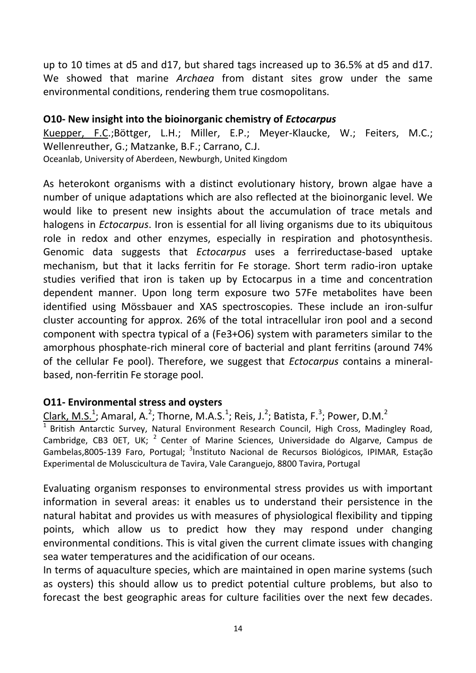up to 10 times at d5 and d17, but shared tags increased up to 36.5% at d5 and d17. We showed that marine *Archaea* from distant sites grow under the same environmental conditions, rendering them true cosmopolitans.

#### **O10- New insight into the bioinorganic chemistry of** *Ectocarpus*

Kuepper, F.C.;Böttger, L.H.; Miller, E.P.; Meyer-Klaucke, W.; Feiters, M.C.; Wellenreuther, G.; Matzanke, B.F.; Carrano, C.J. Oceanlab, University of Aberdeen, Newburgh, United Kingdom

As heterokont organisms with a distinct evolutionary history, brown algae have a number of unique adaptations which are also reflected at the bioinorganic level. We would like to present new insights about the accumulation of trace metals and halogens in *Ectocarpus*. Iron is essential for all living organisms due to its ubiquitous role in redox and other enzymes, especially in respiration and photosynthesis. Genomic data suggests that *Ectocarpus* uses a ferrireductase-based uptake mechanism, but that it lacks ferritin for Fe storage. Short term radio-iron uptake studies verified that iron is taken up by Ectocarpus in a time and concentration dependent manner. Upon long term exposure two 57Fe metabolites have been identified using Mössbauer and XAS spectroscopies. These include an iron-sulfur cluster accounting for approx. 26% of the total intracellular iron pool and a second component with spectra typical of a (Fe3+O6) system with parameters similar to the amorphous phosphate-rich mineral core of bacterial and plant ferritins (around 74% of the cellular Fe pool). Therefore, we suggest that *Ectocarpus* contains a mineralbased, non-ferritin Fe storage pool.

# **O11- Environmental stress and oysters**

Clark, M.S.<sup>1</sup>; Amaral, A.<sup>2</sup>; Thorne, M.A.S.<sup>1</sup>; Reis, J.<sup>2</sup>; Batista, F.<sup>3</sup>; Power, D.M.<sup>2</sup>

 $\frac{1}{1}$  British Antarctic Survey, Natural Environment Research Council, High Cross, Madingley Road, Cambridge, CB3 0ET, UK; <sup>2</sup> Center of Marine Sciences, Universidade do Algarve, Campus de Gambelas,8005-139 Faro, Portugal; <sup>3</sup>Instituto Nacional de Recursos Biológicos, IPIMAR, Estação Experimental de Moluscicultura de Tavira, Vale Caranguejo, 8800 Tavira, Portugal

Evaluating organism responses to environmental stress provides us with important information in several areas: it enables us to understand their persistence in the natural habitat and provides us with measures of physiological flexibility and tipping points, which allow us to predict how they may respond under changing environmental conditions. This is vital given the current climate issues with changing sea water temperatures and the acidification of our oceans.

In terms of aquaculture species, which are maintained in open marine systems (such as oysters) this should allow us to predict potential culture problems, but also to forecast the best geographic areas for culture facilities over the next few decades.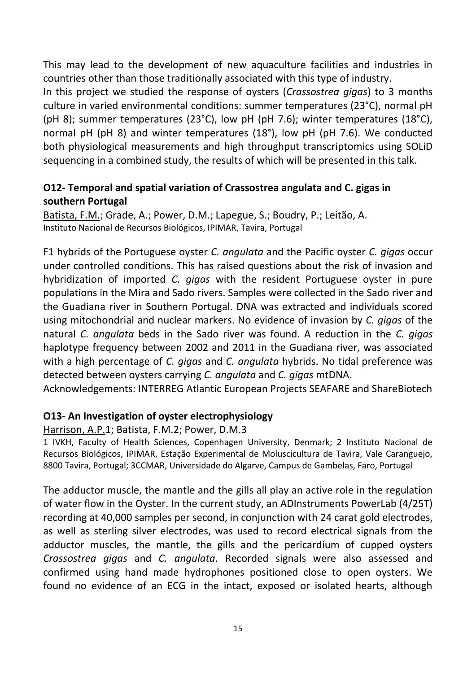This may lead to the development of new aquaculture facilities and industries in countries other than those traditionally associated with this type of industry.

In this project we studied the response of oysters (*Crassostrea gigas*) to 3 months culture in varied environmental conditions: summer temperatures (23°C), normal pH (pH 8); summer temperatures (23°C), low pH (pH 7.6); winter temperatures (18°C), normal pH (pH 8) and winter temperatures (18°), low pH (pH 7.6). We conducted both physiological measurements and high throughput transcriptomics using SOLiD sequencing in a combined study, the results of which will be presented in this talk.

# **O12- Temporal and spatial variation of Crassostrea angulata and C. gigas in southern Portugal**

Batista, F.M.; Grade, A.; Power, D.M.; Lapegue, S.; Boudry, P.; Leitão, A. Instituto Nacional de Recursos Biológicos, IPIMAR, Tavira, Portugal

F1 hybrids of the Portuguese oyster *C. angulata* and the Pacific oyster *C. gigas* occur under controlled conditions. This has raised questions about the risk of invasion and hybridization of imported *C. gigas* with the resident Portuguese oyster in pure populations in the Mira and Sado rivers. Samples were collected in the Sado river and the Guadiana river in Southern Portugal. DNA was extracted and individuals scored using mitochondrial and nuclear markers. No evidence of invasion by *C. gigas* of the natural *C. angulata* beds in the Sado river was found. A reduction in the *C. gigas* haplotype frequency between 2002 and 2011 in the Guadiana river, was associated with a high percentage of *C. gigas* and *C. angulata* hybrids. No tidal preference was detected between oysters carrying *C. angulata* and *C. gigas* mtDNA.

Acknowledgements: INTERREG Atlantic European Projects SEAFARE and ShareBiotech

#### **O13- An Investigation of oyster electrophysiology**

#### Harrison, A.P.1; Batista, F.M.2; Power, D.M.3

1 IVKH, Faculty of Health Sciences, Copenhagen University, Denmark; 2 Instituto Nacional de Recursos Biológicos, IPIMAR, Estação Experimental de Moluscicultura de Tavira, Vale Caranguejo, 8800 Tavira, Portugal; 3CCMAR, Universidade do Algarve, Campus de Gambelas, Faro, Portugal

The adductor muscle, the mantle and the gills all play an active role in the regulation of water flow in the Oyster. In the current study, an ADInstruments PowerLab (4/25T) recording at 40,000 samples per second, in conjunction with 24 carat gold electrodes, as well as sterling silver electrodes, was used to record electrical signals from the adductor muscles, the mantle, the gills and the pericardium of cupped oysters *Crassostrea gigas* and *C. angulata*. Recorded signals were also assessed and confirmed using hand made hydrophones positioned close to open oysters. We found no evidence of an ECG in the intact, exposed or isolated hearts, although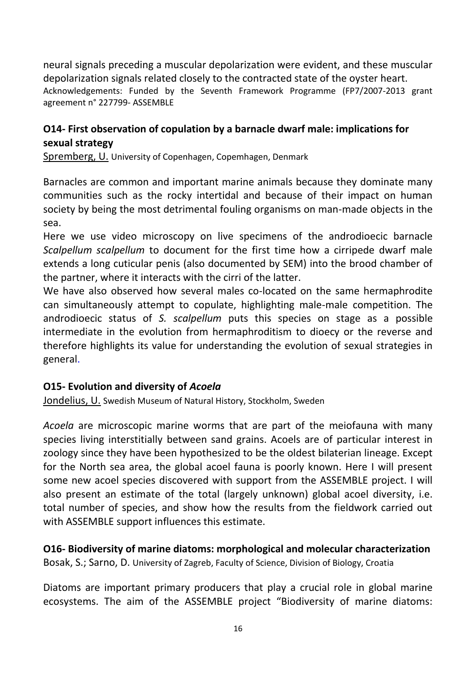neural signals preceding a muscular depolarization were evident, and these muscular depolarization signals related closely to the contracted state of the oyster heart. Acknowledgements: Funded by the Seventh Framework Programme (FP7/2007‐2013 grant agreement n° 227799‐ ASSEMBLE

# **O14- First observation of copulation by a barnacle dwarf male: implications for sexual strategy**

Spremberg, U. University of Copenhagen, Copemhagen, Denmark

Barnacles are common and important marine animals because they dominate many communities such as the rocky intertidal and because of their impact on human society by being the most detrimental fouling organisms on man-made objects in the sea.

Here we use video microscopy on live specimens of the androdioecic barnacle *Scalpellum scalpellum* to document for the first time how a cirripede dwarf male extends a long cuticular penis (also documented by SEM) into the brood chamber of the partner, where it interacts with the cirri of the latter.

We have also observed how several males co-located on the same hermaphrodite can simultaneously attempt to copulate, highlighting male-male competition. The androdioecic status of *S. scalpellum* puts this species on stage as a possible intermediate in the evolution from hermaphroditism to dioecy or the reverse and therefore highlights its value for understanding the evolution of sexual strategies in general.

#### **O15- Evolution and diversity of** *Acoela*

Jondelius, U. Swedish Museum of Natural History, Stockholm, Sweden

*Acoela* are microscopic marine worms that are part of the meiofauna with many species living interstitially between sand grains. Acoels are of particular interest in zoology since they have been hypothesized to be the oldest bilaterian lineage. Except for the North sea area, the global acoel fauna is poorly known. Here I will present some new acoel species discovered with support from the ASSEMBLE project. I will also present an estimate of the total (largely unknown) global acoel diversity, i.e. total number of species, and show how the results from the fieldwork carried out with ASSEMBLE support influences this estimate.

**O16- Biodiversity of marine diatoms: morphological and molecular characterization** Bosak, S.; Sarno, D. University of Zagreb, Faculty of Science, Division of Biology, Croatia

Diatoms are important primary producers that play a crucial role in global marine ecosystems. The aim of the ASSEMBLE project "Biodiversity of marine diatoms: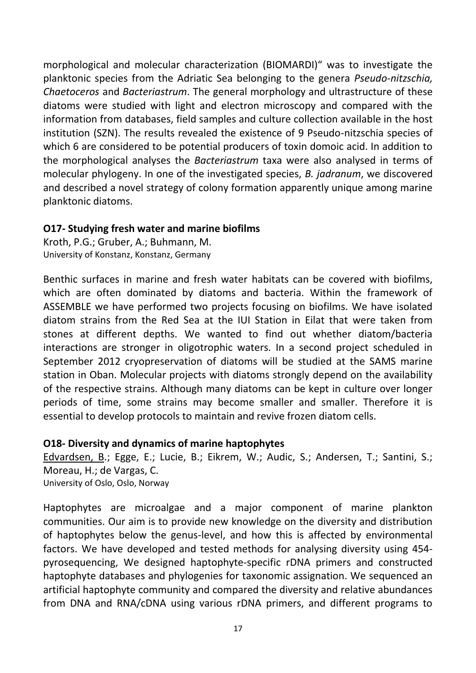morphological and molecular characterization (BIOMARDI)" was to investigate the planktonic species from the Adriatic Sea belonging to the genera *Pseudo-nitzschia, Chaetoceros* and *Bacteriastrum*. The general morphology and ultrastructure of these diatoms were studied with light and electron microscopy and compared with the information from databases, field samples and culture collection available in the host institution (SZN). The results revealed the existence of 9 Pseudo-nitzschia species of which 6 are considered to be potential producers of toxin domoic acid. In addition to the morphological analyses the *Bacteriastrum* taxa were also analysed in terms of molecular phylogeny. In one of the investigated species, *B. jadranum*, we discovered and described a novel strategy of colony formation apparently unique among marine planktonic diatoms.

#### **O17- Studying fresh water and marine biofilms**

Kroth, P.G.; Gruber, A.; Buhmann, M. University of Konstanz, Konstanz, Germany

Benthic surfaces in marine and fresh water habitats can be covered with biofilms, which are often dominated by diatoms and bacteria. Within the framework of ASSEMBLE we have performed two projects focusing on biofilms. We have isolated diatom strains from the Red Sea at the IUI Station in Eilat that were taken from stones at different depths. We wanted to find out whether diatom/bacteria interactions are stronger in oligotrophic waters. In a second project scheduled in September 2012 cryopreservation of diatoms will be studied at the SAMS marine station in Oban. Molecular projects with diatoms strongly depend on the availability of the respective strains. Although many diatoms can be kept in culture over longer periods of time, some strains may become smaller and smaller. Therefore it is essential to develop protocols to maintain and revive frozen diatom cells.

#### **O18- Diversity and dynamics of marine haptophytes**

Edvardsen, B.; Egge, E.; Lucie, B.; Eikrem, W.; Audic, S.; Andersen, T.; Santini, S.; Moreau, H.; de Vargas, C. University of Oslo, Oslo, Norway

Haptophytes are microalgae and a major component of marine plankton communities. Our aim is to provide new knowledge on the diversity and distribution of haptophytes below the genus-level, and how this is affected by environmental factors. We have developed and tested methods for analysing diversity using 454 pyrosequencing, We designed haptophyte-specific rDNA primers and constructed haptophyte databases and phylogenies for taxonomic assignation. We sequenced an artificial haptophyte community and compared the diversity and relative abundances from DNA and RNA/cDNA using various rDNA primers, and different programs to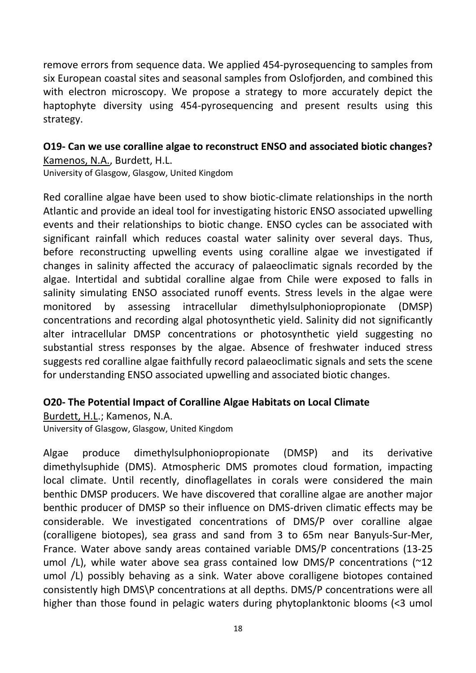remove errors from sequence data. We applied 454-pyrosequencing to samples from six European coastal sites and seasonal samples from Oslofjorden, and combined this with electron microscopy. We propose a strategy to more accurately depict the haptophyte diversity using 454-pyrosequencing and present results using this strategy.

# **O19- Can we use coralline algae to reconstruct ENSO and associated biotic changes?** Kamenos, N.A., Burdett, H.L.

University of Glasgow, Glasgow, United Kingdom

Red coralline algae have been used to show biotic-climate relationships in the north Atlantic and provide an ideal tool for investigating historic ENSO associated upwelling events and their relationships to biotic change. ENSO cycles can be associated with significant rainfall which reduces coastal water salinity over several days. Thus, before reconstructing upwelling events using coralline algae we investigated if changes in salinity affected the accuracy of palaeoclimatic signals recorded by the algae. Intertidal and subtidal coralline algae from Chile were exposed to falls in salinity simulating ENSO associated runoff events. Stress levels in the algae were monitored by assessing intracellular dimethylsulphoniopropionate (DMSP) concentrations and recording algal photosynthetic yield. Salinity did not significantly alter intracellular DMSP concentrations or photosynthetic yield suggesting no substantial stress responses by the algae. Absence of freshwater induced stress suggests red coralline algae faithfully record palaeoclimatic signals and sets the scene for understanding ENSO associated upwelling and associated biotic changes.

#### **O20- The Potential Impact of Coralline Algae Habitats on Local Climate**

Burdett, H.L.; Kamenos, N.A.

University of Glasgow, Glasgow, United Kingdom

Algae produce dimethylsulphoniopropionate (DMSP) and its derivative dimethylsuphide (DMS). Atmospheric DMS promotes cloud formation, impacting local climate. Until recently, dinoflagellates in corals were considered the main benthic DMSP producers. We have discovered that coralline algae are another major benthic producer of DMSP so their influence on DMS-driven climatic effects may be considerable. We investigated concentrations of DMS/P over coralline algae (coralligene biotopes), sea grass and sand from 3 to 65m near Banyuls-Sur-Mer, France. Water above sandy areas contained variable DMS/P concentrations (13-25 umol  $/L$ ), while water above sea grass contained low DMS/P concentrations ( $\approx$ 12 umol /L) possibly behaving as a sink. Water above coralligene biotopes contained consistently high DMS\P concentrations at all depths. DMS/P concentrations were all higher than those found in pelagic waters during phytoplanktonic blooms (<3 umol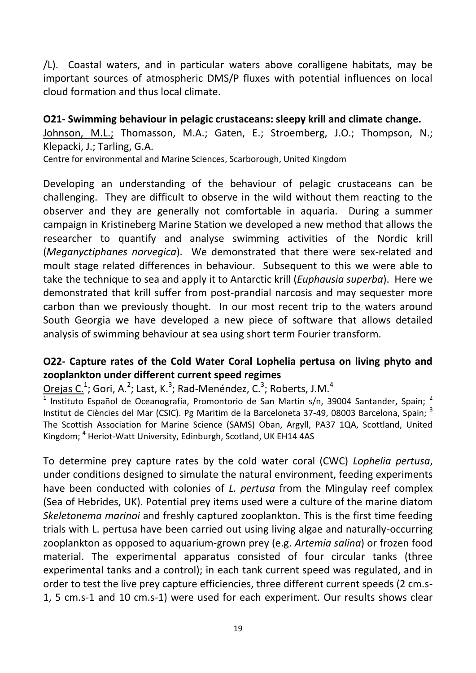/L). Coastal waters, and in particular waters above coralligene habitats, may be important sources of atmospheric DMS/P fluxes with potential influences on local cloud formation and thus local climate.

**O21- Swimming behaviour in pelagic crustaceans: sleepy krill and climate change.** Johnson, M.L.; Thomasson, M.A.; Gaten, E.; Stroemberg, J.O.; Thompson, N.; Klepacki, J.; Tarling, G.A.

Centre for environmental and Marine Sciences, Scarborough, United Kingdom

Developing an understanding of the behaviour of pelagic crustaceans can be challenging. They are difficult to observe in the wild without them reacting to the observer and they are generally not comfortable in aquaria. During a summer campaign in Kristineberg Marine Station we developed a new method that allows the researcher to quantify and analyse swimming activities of the Nordic krill (*Meganyctiphanes norvegica*). We demonstrated that there were sex-related and moult stage related differences in behaviour. Subsequent to this we were able to take the technique to sea and apply it to Antarctic krill (*Euphausia superba*). Here we demonstrated that krill suffer from post-prandial narcosis and may sequester more carbon than we previously thought. In our most recent trip to the waters around South Georgia we have developed a new piece of software that allows detailed analysis of swimming behaviour at sea using short term Fourier transform.

# **O22- Capture rates of the Cold Water Coral Lophelia pertusa on living phyto and zooplankton under different current speed regimes**

 $Orejas C.<sup>1</sup>$ ; Gori, A.<sup>2</sup>; Last, K.<sup>3</sup>; Rad-Menéndez, C.<sup>3</sup>; Roberts, J.M.<sup>4</sup></u>

<sup>1</sup> Instituto Español de Oceanografía, Promontorio de San Martin s/n, 39004 Santander, Spain; <sup>2</sup> Institut de Ciències del Mar (CSIC). Pg Maritim de la Barceloneta 37-49, 08003 Barcelona, Spain; <sup>3</sup> The Scottish Association for Marine Science (SAMS) Oban, Argyll, PA37 1QA, Scottland, United Kingdom; <sup>4</sup> Heriot-Watt University, Edinburgh, Scotland, UK EH14 4AS

To determine prey capture rates by the cold water coral (CWC) *Lophelia pertusa*, under conditions designed to simulate the natural environment, feeding experiments have been conducted with colonies of *L. pertusa* from the Mingulay reef complex (Sea of Hebrides, UK). Potential prey items used were a culture of the marine diatom *Skeletonema marinoi* and freshly captured zooplankton. This is the first time feeding trials with L. pertusa have been carried out using living algae and naturally-occurring zooplankton as opposed to aquarium-grown prey (e.g. *Artemia salina*) or frozen food material. The experimental apparatus consisted of four circular tanks (three experimental tanks and a control); in each tank current speed was regulated, and in order to test the live prey capture efficiencies, three different current speeds (2 cm.s-1, 5 cm.s-1 and 10 cm.s-1) were used for each experiment. Our results shows clear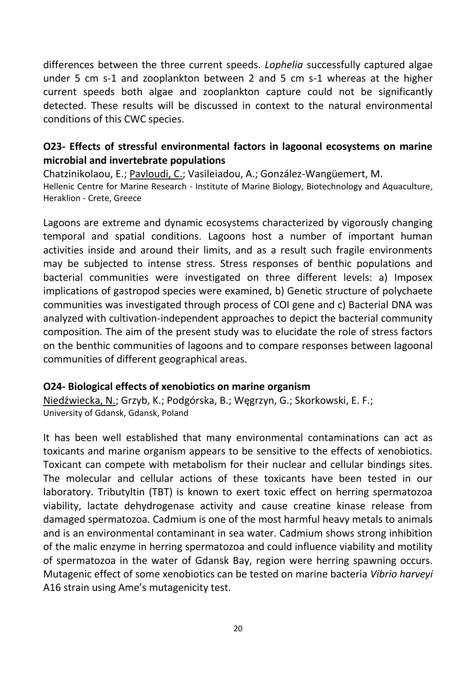differences between the three current speeds. *Lophelia* successfully captured algae under 5 cm s-1 and zooplankton between 2 and 5 cm s-1 whereas at the higher current speeds both algae and zooplankton capture could not be significantly detected. These results will be discussed in context to the natural environmental conditions of this CWC species.

## **O23- Effects of stressful environmental factors in lagoonal ecosystems on marine microbial and invertebrate populations**

Chatzinikolaou, E.; Pavloudi, C.; Vasileiadou, A.; González-Wangüemert, M. Hellenic Centre for Marine Research - Institute of Marine Biology, Biotechnology and Aquaculture, Heraklion - Crete, Greece

Lagoons are extreme and dynamic ecosystems characterized by vigorously changing temporal and spatial conditions. Lagoons host a number of important human activities inside and around their limits, and as a result such fragile environments may be subjected to intense stress. Stress responses of benthic populations and bacterial communities were investigated on three different levels: a) Imposex implications of gastropod species were examined, b) Genetic structure of polychaete communities was investigated through process of COI gene and c) Bacterial DNA was analyzed with cultivation-independent approaches to depict the bacterial community composition. The aim of the present study was to elucidate the role of stress factors on the benthic communities of lagoons and to compare responses between lagoonal communities of different geographical areas.

#### **O24- Biological effects of xenobiotics on marine organism**

Niedźwiecka, N.; Grzyb, K.; Podgórska, B.; Węgrzyn, G.; Skorkowski, E. F.; University of Gdansk, Gdansk, Poland

It has been well established that many environmental contaminations can act as toxicants and marine organism appears to be sensitive to the effects of xenobiotics. Toxicant can compete with metabolism for their nuclear and cellular bindings sites. The molecular and cellular actions of these toxicants have been tested in our laboratory. Tributyltin (TBT) is known to exert toxic effect on herring spermatozoa viability, lactate dehydrogenase activity and cause creatine kinase release from damaged spermatozoa. Cadmium is one of the most harmful heavy metals to animals and is an environmental contaminant in sea water. Cadmium shows strong inhibition of the malic enzyme in herring spermatozoa and could influence viability and motility of spermatozoa in the water of Gdansk Bay, region were herring spawning occurs. Mutagenic effect of some xenobiotics can be tested on marine bacteria *Vibrio harveyi*  A16 strain using Ame's mutagenicity test.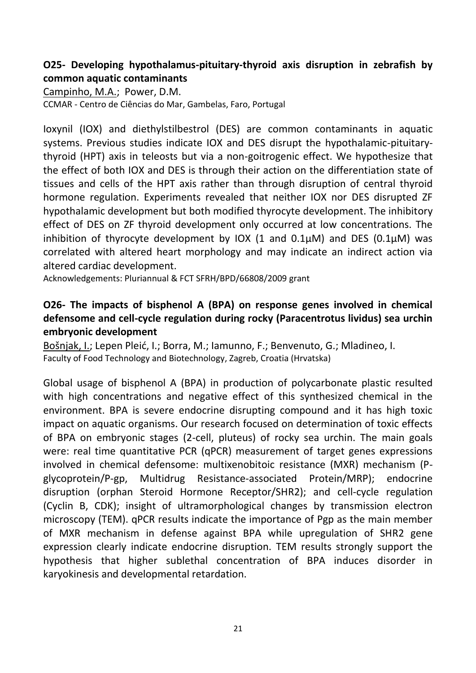# **O25- Developing hypothalamus-pituitary-thyroid axis disruption in zebrafish by common aquatic contaminants**

Campinho, M.A.; Power, D.M. CCMAR - Centro de Ciências do Mar, Gambelas, Faro, Portugal

Ioxynil (IOX) and diethylstilbestrol (DES) are common contaminants in aquatic systems. Previous studies indicate IOX and DES disrupt the hypothalamic-pituitarythyroid (HPT) axis in teleosts but via a non-goitrogenic effect. We hypothesize that the effect of both IOX and DES is through their action on the differentiation state of tissues and cells of the HPT axis rather than through disruption of central thyroid hormone regulation. Experiments revealed that neither IOX nor DES disrupted ZF hypothalamic development but both modified thyrocyte development. The inhibitory effect of DES on ZF thyroid development only occurred at low concentrations. The inhibition of thyrocyte development by IOX (1 and  $0.1\mu$ M) and DES (0.1 $\mu$ M) was correlated with altered heart morphology and may indicate an indirect action via altered cardiac development.

Acknowledgements: Pluriannual & FCT SFRH/BPD/66808/2009 grant

# **O26- The impacts of bisphenol A (BPA) on response genes involved in chemical defensome and cell-cycle regulation during rocky (Paracentrotus lividus) sea urchin embryonic development**

Bošnjak, I.; Lepen Pleić, I.; Borra, M.; Iamunno, F.; Benvenuto, G.; Mladineo, I. Faculty of Food Technology and Biotechnology, Zagreb, Croatia (Hrvatska)

Global usage of bisphenol A (BPA) in production of polycarbonate plastic resulted with high concentrations and negative effect of this synthesized chemical in the environment. BPA is severe endocrine disrupting compound and it has high toxic impact on aquatic organisms. Our research focused on determination of toxic effects of BPA on embryonic stages (2-cell, pluteus) of rocky sea urchin. The main goals were: real time quantitative PCR (qPCR) measurement of target genes expressions involved in chemical defensome: multixenobitoic resistance (MXR) mechanism (Pglycoprotein/P-gp, Multidrug Resistance-associated Protein/MRP); endocrine disruption (orphan Steroid Hormone Receptor/SHR2); and cell-cycle regulation (Cyclin B, CDK); insight of ultramorphological changes by transmission electron microscopy (TEM). qPCR results indicate the importance of Pgp as the main member of MXR mechanism in defense against BPA while upregulation of SHR2 gene expression clearly indicate endocrine disruption. TEM results strongly support the hypothesis that higher sublethal concentration of BPA induces disorder in karyokinesis and developmental retardation.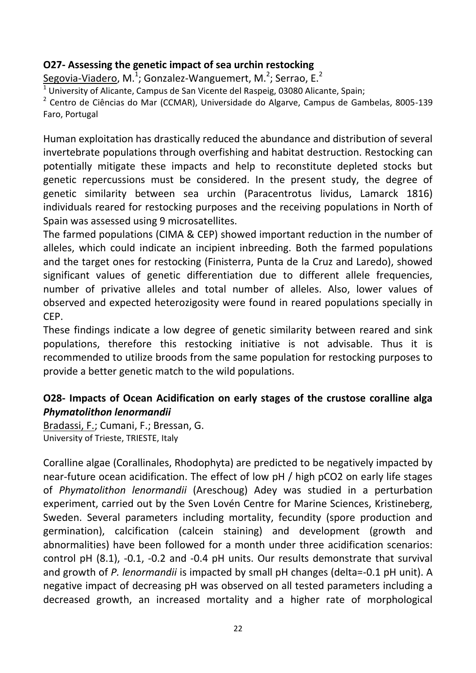# **O27- Assessing the genetic impact of sea urchin restocking**

Segovia-Viadero, M.<sup>1</sup>; Gonzalez-Wanguemert, M.<sup>2</sup>; Serrao, E.<sup>2</sup>

 $1$  University of Alicante, Campus de San Vicente del Raspeig, 03080 Alicante, Spain;

<sup>2</sup> Centro de Ciências do Mar (CCMAR), Universidade do Algarve, Campus de Gambelas, 8005-139 Faro, Portugal

Human exploitation has drastically reduced the abundance and distribution of several invertebrate populations through overfishing and habitat destruction. Restocking can potentially mitigate these impacts and help to reconstitute depleted stocks but genetic repercussions must be considered. In the present study, the degree of genetic similarity between sea urchin (Paracentrotus lividus, Lamarck 1816) individuals reared for restocking purposes and the receiving populations in North of Spain was assessed using 9 microsatellites.

The farmed populations (CIMA & CEP) showed important reduction in the number of alleles, which could indicate an incipient inbreeding. Both the farmed populations and the target ones for restocking (Finisterra, Punta de la Cruz and Laredo), showed significant values of genetic differentiation due to different allele frequencies, number of privative alleles and total number of alleles. Also, lower values of observed and expected heterozigosity were found in reared populations specially in CEP.

These findings indicate a low degree of genetic similarity between reared and sink populations, therefore this restocking initiative is not advisable. Thus it is recommended to utilize broods from the same population for restocking purposes to provide a better genetic match to the wild populations.

# **O28- Impacts of Ocean Acidification on early stages of the crustose coralline alga**  *Phymatolithon lenormandii*

Bradassi, F.; Cumani, F.; Bressan, G. University of Trieste, TRIESTE, Italy

Coralline algae (Corallinales, Rhodophyta) are predicted to be negatively impacted by near-future ocean acidification. The effect of low pH / high pCO2 on early life stages of *Phymatolithon lenormandii* (Areschoug) Adey was studied in a perturbation experiment, carried out by the Sven Lovén Centre for Marine Sciences, Kristineberg, Sweden. Several parameters including mortality, fecundity (spore production and germination), calcification (calcein staining) and development (growth and abnormalities) have been followed for a month under three acidification scenarios: control pH (8.1), -0.1, -0.2 and -0.4 pH units. Our results demonstrate that survival and growth of *P. lenormandii* is impacted by small pH changes (delta=-0.1 pH unit). A negative impact of decreasing pH was observed on all tested parameters including a decreased growth, an increased mortality and a higher rate of morphological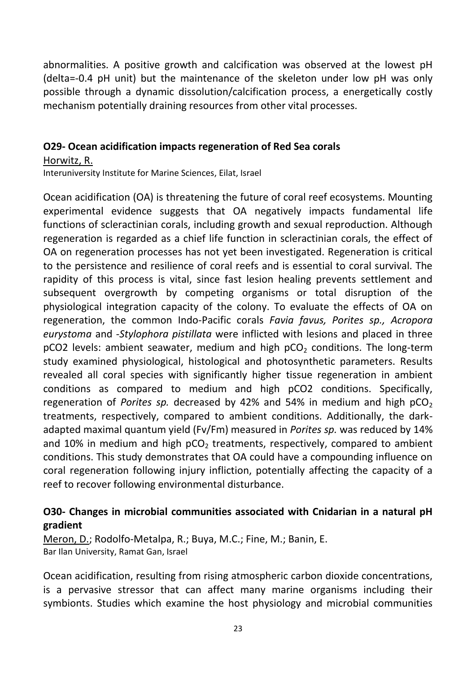abnormalities. A positive growth and calcification was observed at the lowest pH (delta=-0.4 pH unit) but the maintenance of the skeleton under low pH was only possible through a dynamic dissolution/calcification process, a energetically costly mechanism potentially draining resources from other vital processes.

#### **O29- Ocean acidification impacts regeneration of Red Sea corals**

Horwitz, R.

Interuniversity Institute for Marine Sciences, Eilat, Israel

Ocean acidification (OA) is threatening the future of coral reef ecosystems. Mounting experimental evidence suggests that OA negatively impacts fundamental life functions of scleractinian corals, including growth and sexual reproduction. Although regeneration is regarded as a chief life function in scleractinian corals, the effect of OA on regeneration processes has not yet been investigated. Regeneration is critical to the persistence and resilience of coral reefs and is essential to coral survival. The rapidity of this process is vital, since fast lesion healing prevents settlement and subsequent overgrowth by competing organisms or total disruption of the physiological integration capacity of the colony. To evaluate the effects of OA on regeneration, the common Indo-Pacific corals *Favia favus, Porites sp., Acropora eurystoma* and *-Stylophora pistillata* were inflicted with lesions and placed in three  $pCO2$  levels: ambient seawater, medium and high  $pCO<sub>2</sub>$  conditions. The long-term study examined physiological, histological and photosynthetic parameters. Results revealed all coral species with significantly higher tissue regeneration in ambient conditions as compared to medium and high pCO2 conditions. Specifically, regeneration of *Porites sp.* decreased by 42% and 54% in medium and high pCO<sub>2</sub> treatments, respectively, compared to ambient conditions. Additionally, the darkadapted maximal quantum yield (Fv/Fm) measured in *Porites sp.* was reduced by 14% and 10% in medium and high  $pCO<sub>2</sub>$  treatments, respectively, compared to ambient conditions. This study demonstrates that OA could have a compounding influence on coral regeneration following injury infliction, potentially affecting the capacity of a reef to recover following environmental disturbance.

### **O30- Changes in microbial communities associated with Cnidarian in a natural pH gradient**

Meron, D.; Rodolfo-Metalpa, R.; Buya, M.C.; Fine, M.; Banin, E. Bar Ilan University, Ramat Gan, Israel

Ocean acidification, resulting from rising atmospheric carbon dioxide concentrations, is a pervasive stressor that can affect many marine organisms including their symbionts. Studies which examine the host physiology and microbial communities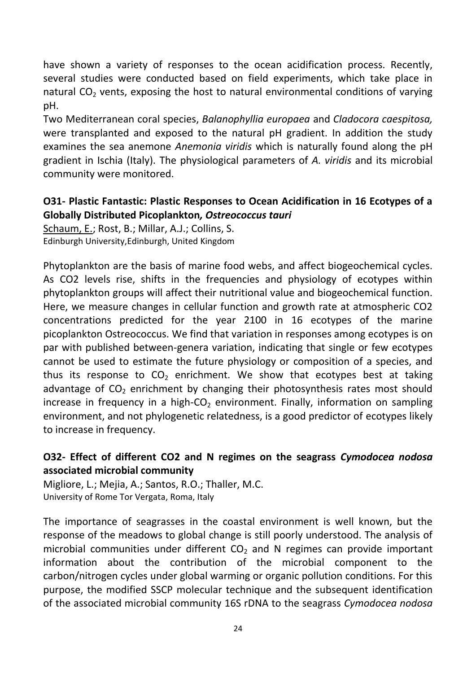have shown a variety of responses to the ocean acidification process. Recently, several studies were conducted based on field experiments, which take place in natural  $CO<sub>2</sub>$  vents, exposing the host to natural environmental conditions of varying pH.

Two Mediterranean coral species, *Balanophyllia europaea* and *Cladocora caespitosa,* were transplanted and exposed to the natural pH gradient. In addition the study examines the sea anemone *Anemonia viridis* which is naturally found along the pH gradient in Ischia (Italy). The physiological parameters of *A. viridis* and its microbial community were monitored.

# **O31- Plastic Fantastic: Plastic Responses to Ocean Acidification in 16 Ecotypes of a Globally Distributed Picoplankton***, Ostreococcus tauri*

Schaum, E.; Rost, B.; Millar, A.J.; Collins, S. Edinburgh University,Edinburgh, United Kingdom

Phytoplankton are the basis of marine food webs, and affect biogeochemical cycles. As CO2 levels rise, shifts in the frequencies and physiology of ecotypes within phytoplankton groups will affect their nutritional value and biogeochemical function. Here, we measure changes in cellular function and growth rate at atmospheric CO2 concentrations predicted for the year 2100 in 16 ecotypes of the marine picoplankton Ostreococcus. We find that variation in responses among ecotypes is on par with published between-genera variation, indicating that single or few ecotypes cannot be used to estimate the future physiology or composition of a species, and thus its response to  $CO<sub>2</sub>$  enrichment. We show that ecotypes best at taking advantage of  $CO<sub>2</sub>$  enrichment by changing their photosynthesis rates most should increase in frequency in a high- $CO<sub>2</sub>$  environment. Finally, information on sampling environment, and not phylogenetic relatedness, is a good predictor of ecotypes likely to increase in frequency.

# **O32- Effect of different CO2 and N regimes on the seagrass** *Cymodocea nodosa* **associated microbial community**

Migliore, L.; Mejia, A.; Santos, R.O.; Thaller, M.C. University of Rome Tor Vergata, Roma, Italy

The importance of seagrasses in the coastal environment is well known, but the response of the meadows to global change is still poorly understood. The analysis of microbial communities under different  $CO<sub>2</sub>$  and N regimes can provide important information about the contribution of the microbial component to the carbon/nitrogen cycles under global warming or organic pollution conditions. For this purpose, the modified SSCP molecular technique and the subsequent identification of the associated microbial community 16S rDNA to the seagrass *Cymodocea nodosa*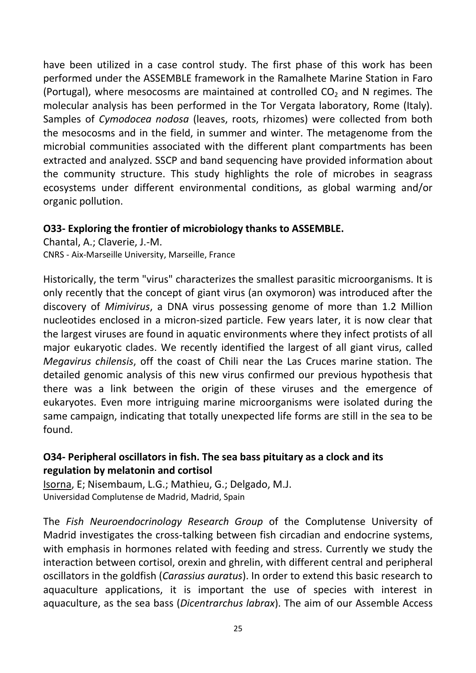have been utilized in a case control study. The first phase of this work has been performed under the ASSEMBLE framework in the Ramalhete Marine Station in Faro (Portugal), where mesocosms are maintained at controlled  $CO<sub>2</sub>$  and N regimes. The molecular analysis has been performed in the Tor Vergata laboratory, Rome (Italy). Samples of *Cymodocea nodosa* (leaves, roots, rhizomes) were collected from both the mesocosms and in the field, in summer and winter. The metagenome from the microbial communities associated with the different plant compartments has been extracted and analyzed. SSCP and band sequencing have provided information about the community structure. This study highlights the role of microbes in seagrass ecosystems under different environmental conditions, as global warming and/or organic pollution.

#### **O33- Exploring the frontier of microbiology thanks to ASSEMBLE.**

Chantal, A.; Claverie, J.-M. CNRS - Aix-Marseille University, Marseille, France

Historically, the term "virus" characterizes the smallest parasitic microorganisms. It is only recently that the concept of giant virus (an oxymoron) was introduced after the discovery of *Mimivirus*, a DNA virus possessing genome of more than 1.2 Million nucleotides enclosed in a micron-sized particle. Few years later, it is now clear that the largest viruses are found in aquatic environments where they infect protists of all major eukaryotic clades. We recently identified the largest of all giant virus, called *Megavirus chilensis*, off the coast of Chili near the Las Cruces marine station. The detailed genomic analysis of this new virus confirmed our previous hypothesis that there was a link between the origin of these viruses and the emergence of eukaryotes. Even more intriguing marine microorganisms were isolated during the same campaign, indicating that totally unexpected life forms are still in the sea to be found.

# **O34- Peripheral oscillators in fish. The sea bass pituitary as a clock and its regulation by melatonin and cortisol**

Isorna, E; Nisembaum, L.G.; Mathieu, G.; Delgado, M.J. Universidad Complutense de Madrid, Madrid, Spain

The *Fish Neuroendocrinology Research Group* of the Complutense University of Madrid investigates the cross-talking between fish circadian and endocrine systems, with emphasis in hormones related with feeding and stress. Currently we study the interaction between cortisol, orexin and ghrelin, with different central and peripheral oscillators in the goldfish (*Carassius auratus*). In order to extend this basic research to aquaculture applications, it is important the use of species with interest in aquaculture, as the sea bass (*Dicentrarchus labrax*). The aim of our Assemble Access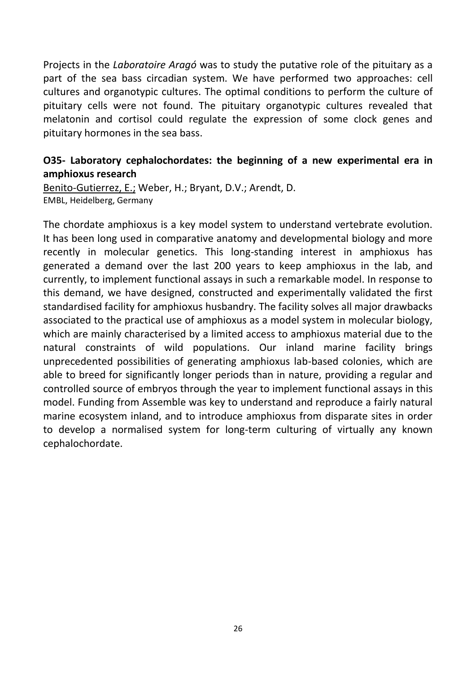Projects in the *Laboratoire Aragó* was to study the putative role of the pituitary as a part of the sea bass circadian system. We have performed two approaches: cell cultures and organotypic cultures. The optimal conditions to perform the culture of pituitary cells were not found. The pituitary organotypic cultures revealed that melatonin and cortisol could regulate the expression of some clock genes and pituitary hormones in the sea bass.

# **O35- Laboratory cephalochordates: the beginning of a new experimental era in amphioxus research**

Benito-Gutierrez, E.; Weber, H.; Bryant, D.V.; Arendt, D. EMBL, Heidelberg, Germany

The chordate amphioxus is a key model system to understand vertebrate evolution. It has been long used in comparative anatomy and developmental biology and more recently in molecular genetics. This long-standing interest in amphioxus has generated a demand over the last 200 years to keep amphioxus in the lab, and currently, to implement functional assays in such a remarkable model. In response to this demand, we have designed, constructed and experimentally validated the first standardised facility for amphioxus husbandry. The facility solves all major drawbacks associated to the practical use of amphioxus as a model system in molecular biology, which are mainly characterised by a limited access to amphioxus material due to the natural constraints of wild populations. Our inland marine facility brings unprecedented possibilities of generating amphioxus lab-based colonies, which are able to breed for significantly longer periods than in nature, providing a regular and controlled source of embryos through the year to implement functional assays in this model. Funding from Assemble was key to understand and reproduce a fairly natural marine ecosystem inland, and to introduce amphioxus from disparate sites in order to develop a normalised system for long-term culturing of virtually any known cephalochordate.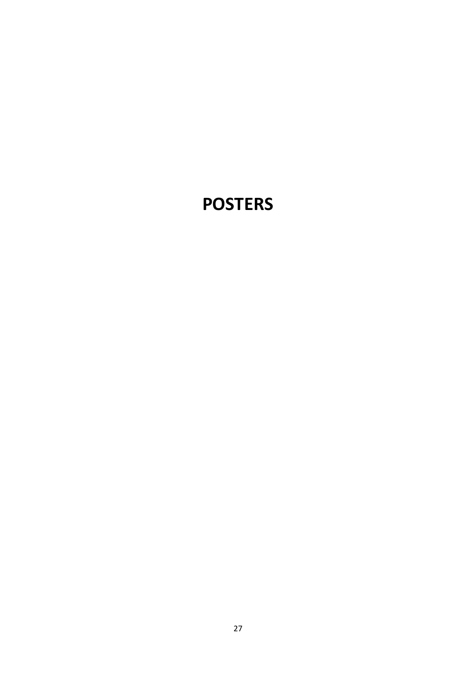# **POSTERS**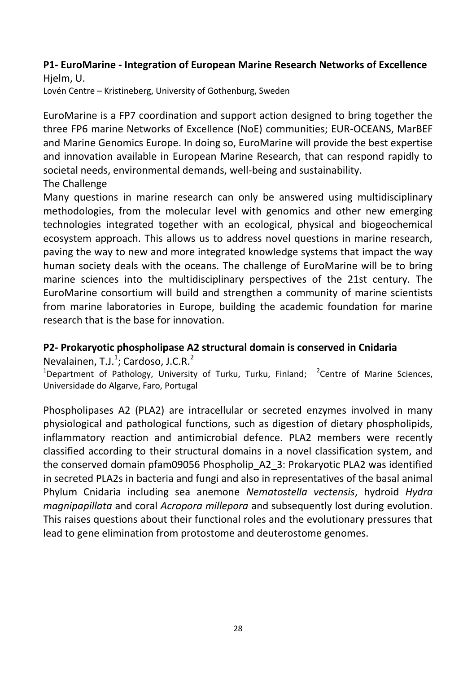#### **P1- EuroMarine - Integration of European Marine Research Networks of Excellence**  Hjelm, U.

Lovén Centre – Kristineberg, University of Gothenburg, Sweden

EuroMarine is a FP7 coordination and support action designed to bring together the three FP6 marine Networks of Excellence (NoE) communities; EUR-OCEANS, MarBEF and Marine Genomics Europe. In doing so, EuroMarine will provide the best expertise and innovation available in European Marine Research, that can respond rapidly to societal needs, environmental demands, well-being and sustainability. The Challenge

Many questions in marine research can only be answered using multidisciplinary methodologies, from the molecular level with genomics and other new emerging technologies integrated together with an ecological, physical and biogeochemical ecosystem approach. This allows us to address novel questions in marine research, paving the way to new and more integrated knowledge systems that impact the way human society deals with the oceans. The challenge of EuroMarine will be to bring marine sciences into the multidisciplinary perspectives of the 21st century. The EuroMarine consortium will build and strengthen a community of marine scientists from marine laboratories in Europe, building the academic foundation for marine research that is the base for innovation.

#### **P2- Prokaryotic phospholipase A2 structural domain is conserved in Cnidaria**

Nevalainen, T.J.<sup>1</sup>; Cardoso, J.C.R.<sup>2</sup>

<sup>1</sup>Department of Pathology, University of Turku, Turku, Finland; <sup>2</sup>Centre of Marine Sciences, Universidade do Algarve, Faro, Portugal

Phospholipases A2 (PLA2) are intracellular or secreted enzymes involved in many physiological and pathological functions, such as digestion of dietary phospholipids, inflammatory reaction and antimicrobial defence. PLA2 members were recently classified according to their structural domains in a novel classification system, and the conserved domain pfam09056 Phospholip\_A2\_3: Prokaryotic PLA2 was identified in secreted PLA2s in bacteria and fungi and also in representatives of the basal animal Phylum Cnidaria including sea anemone *Nematostella vectensis*, hydroid *Hydra magnipapillata* and coral *Acropora millepora* and subsequently lost during evolution. This raises questions about their functional roles and the evolutionary pressures that lead to gene elimination from protostome and deuterostome genomes.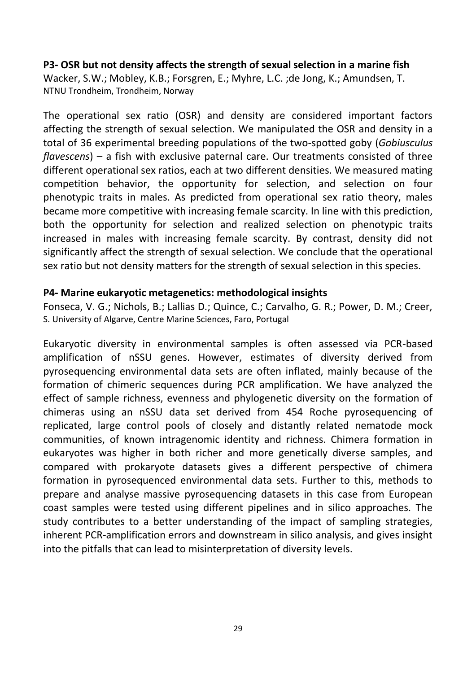#### **P3- OSR but not density affects the strength of sexual selection in a marine fish**

Wacker, S.W.; Mobley, K.B.; Forsgren, E.; Myhre, L.C. ;de Jong, K.; Amundsen, T. NTNU Trondheim, Trondheim, Norway

The operational sex ratio (OSR) and density are considered important factors affecting the strength of sexual selection. We manipulated the OSR and density in a total of 36 experimental breeding populations of the two-spotted goby (*Gobiusculus flavescens*) – a fish with exclusive paternal care. Our treatments consisted of three different operational sex ratios, each at two different densities. We measured mating competition behavior, the opportunity for selection, and selection on four phenotypic traits in males. As predicted from operational sex ratio theory, males became more competitive with increasing female scarcity. In line with this prediction, both the opportunity for selection and realized selection on phenotypic traits increased in males with increasing female scarcity. By contrast, density did not significantly affect the strength of sexual selection. We conclude that the operational sex ratio but not density matters for the strength of sexual selection in this species.

#### **P4- Marine eukaryotic metagenetics: methodological insights**

Fonseca, V. G.; Nichols, B.; Lallias D.; Quince, C.; Carvalho, G. R.; Power, D. M.; Creer, S. University of Algarve, Centre Marine Sciences, Faro, Portugal

Eukaryotic diversity in environmental samples is often assessed via PCR-based amplification of nSSU genes. However, estimates of diversity derived from pyrosequencing environmental data sets are often inflated, mainly because of the formation of chimeric sequences during PCR amplification. We have analyzed the effect of sample richness, evenness and phylogenetic diversity on the formation of chimeras using an nSSU data set derived from 454 Roche pyrosequencing of replicated, large control pools of closely and distantly related nematode mock communities, of known intragenomic identity and richness. Chimera formation in eukaryotes was higher in both richer and more genetically diverse samples, and compared with prokaryote datasets gives a different perspective of chimera formation in pyrosequenced environmental data sets. Further to this, methods to prepare and analyse massive pyrosequencing datasets in this case from European coast samples were tested using different pipelines and in silico approaches. The study contributes to a better understanding of the impact of sampling strategies, inherent PCR-amplification errors and downstream in silico analysis, and gives insight into the pitfalls that can lead to misinterpretation of diversity levels.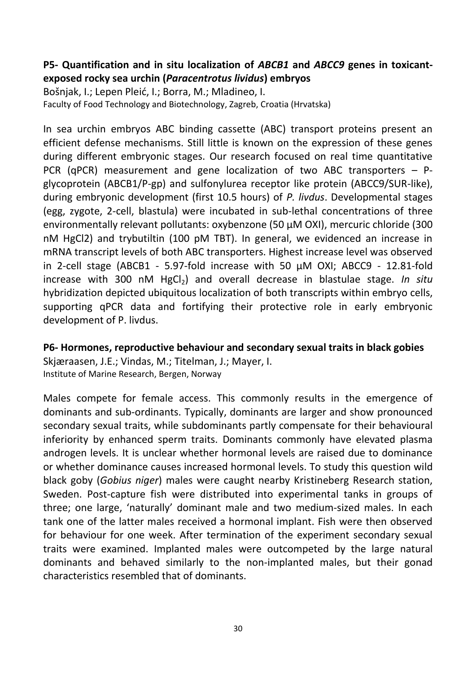# **P5- Quantification and in situ localization of** *ABCB1* **and** *ABCC9* **genes in toxicantexposed rocky sea urchin (***Paracentrotus lividus***) embryos**

Bošnjak, I.; Lepen Pleić, I.; Borra, M.; Mladineo, I. Faculty of Food Technology and Biotechnology, Zagreb, Croatia (Hrvatska)

In sea urchin embryos ABC binding cassette (ABC) transport proteins present an efficient defense mechanisms. Still little is known on the expression of these genes during different embryonic stages. Our research focused on real time quantitative PCR (qPCR) measurement and gene localization of two ABC transporters – Pglycoprotein (ABCB1/P-gp) and sulfonylurea receptor like protein (ABCC9/SUR-like), during embryonic development (first 10.5 hours) of *P. livdus*. Developmental stages (egg, zygote, 2-cell, blastula) were incubated in sub-lethal concentrations of three environmentally relevant pollutants: oxybenzone (50 µM OXI), mercuric chloride (300 nM HgCl2) and trybutiltin (100 pM TBT). In general, we evidenced an increase in mRNA transcript levels of both ABC transporters. Highest increase level was observed in 2-cell stage (ABCB1 - 5.97-fold increase with 50 µM OXI; ABCC9 - 12.81-fold increase with 300 nM HgCl<sub>2</sub>) and overall decrease in blastulae stage. *In situ* hybridization depicted ubiquitous localization of both transcripts within embryo cells, supporting qPCR data and fortifying their protective role in early embryonic development of P. livdus.

**P6- Hormones, reproductive behaviour and secondary sexual traits in black gobies**  Skjæraasen, J.E.; Vindas, M.; Titelman, J.; Mayer, I. Institute of Marine Research, Bergen, Norway

Males compete for female access. This commonly results in the emergence of dominants and sub-ordinants. Typically, dominants are larger and show pronounced secondary sexual traits, while subdominants partly compensate for their behavioural inferiority by enhanced sperm traits. Dominants commonly have elevated plasma androgen levels. It is unclear whether hormonal levels are raised due to dominance or whether dominance causes increased hormonal levels. To study this question wild black goby (*Gobius niger*) males were caught nearby Kristineberg Research station, Sweden. Post-capture fish were distributed into experimental tanks in groups of three; one large, 'naturally' dominant male and two medium-sized males. In each tank one of the latter males received a hormonal implant. Fish were then observed for behaviour for one week. After termination of the experiment secondary sexual traits were examined. Implanted males were outcompeted by the large natural dominants and behaved similarly to the non-implanted males, but their gonad characteristics resembled that of dominants.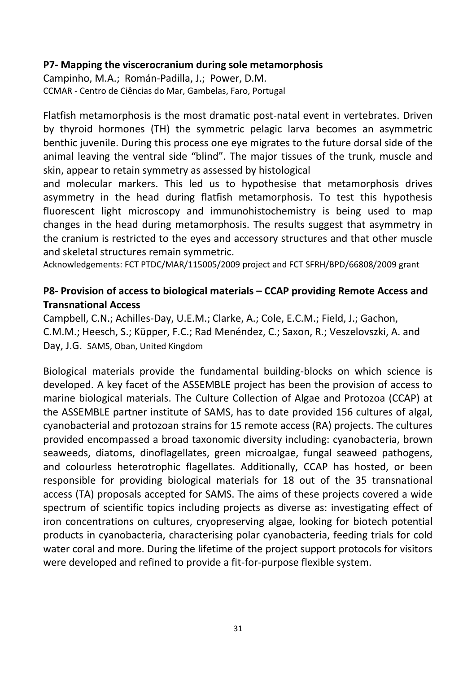#### **P7- Mapping the viscerocranium during sole metamorphosis**

Campinho, M.A.; Román-Padilla, J.; Power, D.M. CCMAR - Centro de Ciências do Mar, Gambelas, Faro, Portugal

Flatfish metamorphosis is the most dramatic post-natal event in vertebrates. Driven by thyroid hormones (TH) the symmetric pelagic larva becomes an asymmetric benthic juvenile. During this process one eye migrates to the future dorsal side of the animal leaving the ventral side "blind". The major tissues of the trunk, muscle and skin, appear to retain symmetry as assessed by histological

and molecular markers. This led us to hypothesise that metamorphosis drives asymmetry in the head during flatfish metamorphosis. To test this hypothesis fluorescent light microscopy and immunohistochemistry is being used to map changes in the head during metamorphosis. The results suggest that asymmetry in the cranium is restricted to the eyes and accessory structures and that other muscle and skeletal structures remain symmetric.

Acknowledgements: FCT PTDC/MAR/115005/2009 project and FCT SFRH/BPD/66808/2009 grant

#### **P8- Provision of access to biological materials – CCAP providing Remote Access and Transnational Access**

Campbell, C.N.; Achilles-Day, U.E.M.; Clarke, A.; Cole, E.C.M.; Field, J.; Gachon, C.M.M.; Heesch, S.; Küpper, F.C.; Rad Menéndez, C.; Saxon, R.; Veszelovszki, A. and Day, J.G. SAMS, Oban, United Kingdom

Biological materials provide the fundamental building-blocks on which science is developed. A key facet of the ASSEMBLE project has been the provision of access to marine biological materials. The Culture Collection of Algae and Protozoa (CCAP) at the ASSEMBLE partner institute of SAMS, has to date provided 156 cultures of algal, cyanobacterial and protozoan strains for 15 remote access (RA) projects. The cultures provided encompassed a broad taxonomic diversity including: cyanobacteria, brown seaweeds, diatoms, dinoflagellates, green microalgae, fungal seaweed pathogens, and colourless heterotrophic flagellates. Additionally, CCAP has hosted, or been responsible for providing biological materials for 18 out of the 35 transnational access (TA) proposals accepted for SAMS. The aims of these projects covered a wide spectrum of scientific topics including projects as diverse as: investigating effect of iron concentrations on cultures, cryopreserving algae, looking for biotech potential products in cyanobacteria, characterising polar cyanobacteria, feeding trials for cold water coral and more. During the lifetime of the project support protocols for visitors were developed and refined to provide a fit-for-purpose flexible system.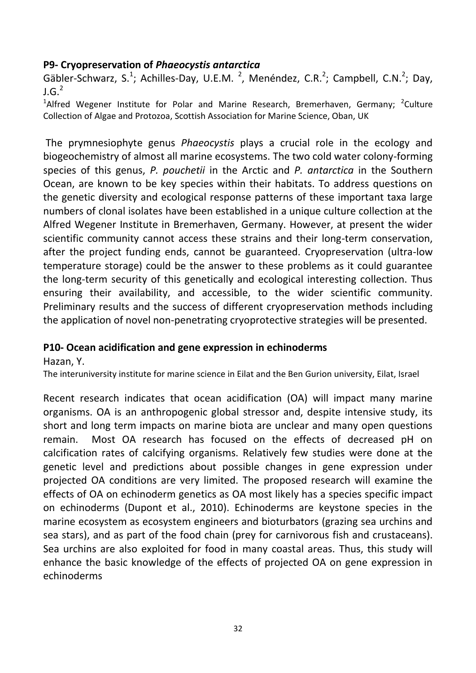#### **P9- Cryopreservation of** *Phaeocystis antarctica*

Gäbler-Schwarz, S.<sup>1</sup>; Achilles-Day, U.E.M.<sup>2</sup>, Menéndez, C.R.<sup>2</sup>; Campbell, C.N.<sup>2</sup>; Day,  $J.G.<sup>2</sup>$ 

<sup>1</sup>Alfred Wegener Institute for Polar and Marine Research, Bremerhaven, Germany; <sup>2</sup>Culture Collection of Algae and Protozoa, Scottish Association for Marine Science, Oban, UK

The prymnesiophyte genus *Phaeocystis* plays a crucial role in the ecology and biogeochemistry of almost all marine ecosystems. The two cold water colony-forming species of this genus, *P. pouchetii* in the Arctic and *P. antarctica* in the Southern Ocean, are known to be key species within their habitats. To address questions on the genetic diversity and ecological response patterns of these important taxa large numbers of clonal isolates have been established in a unique culture collection at the Alfred Wegener Institute in Bremerhaven, Germany. However, at present the wider scientific community cannot access these strains and their long-term conservation, after the project funding ends, cannot be guaranteed. Cryopreservation (ultra-low temperature storage) could be the answer to these problems as it could guarantee the long-term security of this genetically and ecological interesting collection. Thus ensuring their availability, and accessible, to the wider scientific community. Preliminary results and the success of different cryopreservation methods including the application of novel non-penetrating cryoprotective strategies will be presented.

#### **P10- Ocean acidification and gene expression in echinoderms**

Hazan, Y.

The interuniversity institute for marine science in Eilat and the Ben Gurion university, Eilat, Israel

Recent research indicates that ocean acidification (OA) will impact many marine organisms. OA is an anthropogenic global stressor and, despite intensive study, its short and long term impacts on marine biota are unclear and many open questions remain. Most OA research has focused on the effects of decreased pH on calcification rates of calcifying organisms. Relatively few studies were done at the genetic level and predictions about possible changes in gene expression under projected OA conditions are very limited. The proposed research will examine the effects of OA on echinoderm genetics as OA most likely has a species specific impact on echinoderms (Dupont et al., 2010). Echinoderms are keystone species in the marine ecosystem as ecosystem engineers and bioturbators (grazing sea urchins and sea stars), and as part of the food chain (prey for carnivorous fish and crustaceans). Sea urchins are also exploited for food in many coastal areas. Thus, this study will enhance the basic knowledge of the effects of projected OA on gene expression in echinoderms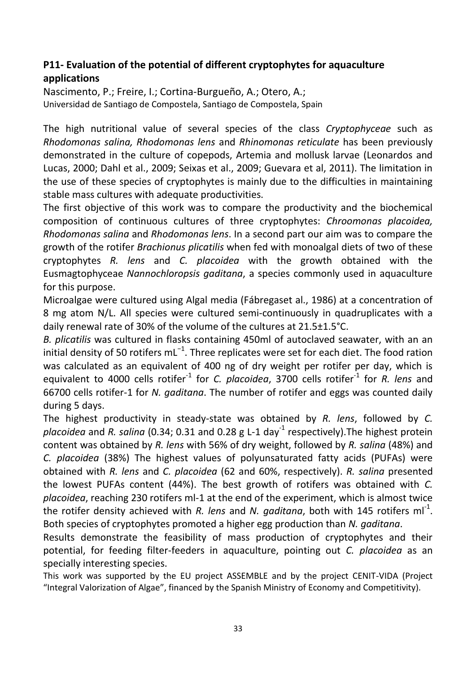# **P11- Evaluation of the potential of different cryptophytes for aquaculture applications**

Nascimento, P.; Freire, I.; Cortina-Burgueño, A.; Otero, A.; Universidad de Santiago de Compostela, Santiago de Compostela, Spain

The high nutritional value of several species of the class *Cryptophyceae* such as *Rhodomonas salina, Rhodomonas lens* and *Rhinomonas reticulate* has been previously demonstrated in the culture of copepods, Artemia and mollusk larvae (Leonardos and Lucas, 2000; Dahl et al., 2009; Seixas et al., 2009; Guevara et al, 2011). The limitation in the use of these species of cryptophytes is mainly due to the difficulties in maintaining stable mass cultures with adequate productivities.

The first objective of this work was to compare the productivity and the biochemical composition of continuous cultures of three cryptophytes: *Chroomonas placoidea, Rhodomonas salina* and *Rhodomonas lens*. In a second part our aim was to compare the growth of the rotifer *Brachionus plicatilis* when fed with monoalgal diets of two of these cryptophytes *R. lens* and *C. placoidea* with the growth obtained with the Eusmagtophyceae *Nannochloropsis gaditana*, a species commonly used in aquaculture for this purpose.

Microalgae were cultured using Algal media (Fábregaset al., 1986) at a concentration of 8 mg atom N/L. All species were cultured semi-continuously in quadruplicates with a daily renewal rate of 30% of the volume of the cultures at 21.5±1.5°C.

*B. plicatilis* was cultured in flasks containing 450ml of autoclaved seawater, with an an initial density of 50 rotifers mL<sup>-1</sup>. Three replicates were set for each diet. The food ration was calculated as an equivalent of 400 ng of dry weight per rotifer per day, which is equivalent to 4000 cells rotifer<sup>-1</sup> for *C. placoidea*, 3700 cells rotifer<sup>-1</sup> for *R. lens* and 66700 cells rotifer-1 for *N. gaditana*. The number of rotifer and eggs was counted daily during 5 days.

The highest productivity in steady-state was obtained by *R. lens*, followed by *C.*  placoidea and *R. salina* (0.34; 0.31 and 0.28 g L-1 day<sup>-1</sup> respectively).The highest protein content was obtained by *R. lens* with 56% of dry weight, followed by *R. salina* (48%) and *C. placoidea* (38%) The highest values of polyunsaturated fatty acids (PUFAs) were obtained with *R. lens* and *C. placoidea* (62 and 60%, respectively). *R. salina* presented the lowest PUFAs content (44%). The best growth of rotifers was obtained with *C. placoidea*, reaching 230 rotifers ml-1 at the end of the experiment, which is almost twice the rotifer density achieved with R. lens and N. gaditana, both with 145 rotifers ml<sup>-1</sup>. Both species of cryptophytes promoted a higher egg production than *N. gaditana*.

Results demonstrate the feasibility of mass production of cryptophytes and their potential, for feeding filter-feeders in aquaculture, pointing out *C. placoidea* as an specially interesting species.

This work was supported by the EU project ASSEMBLE and by the project CENIT-VIDA (Project "Integral Valorization of Algae", financed by the Spanish Ministry of Economy and Competitivity).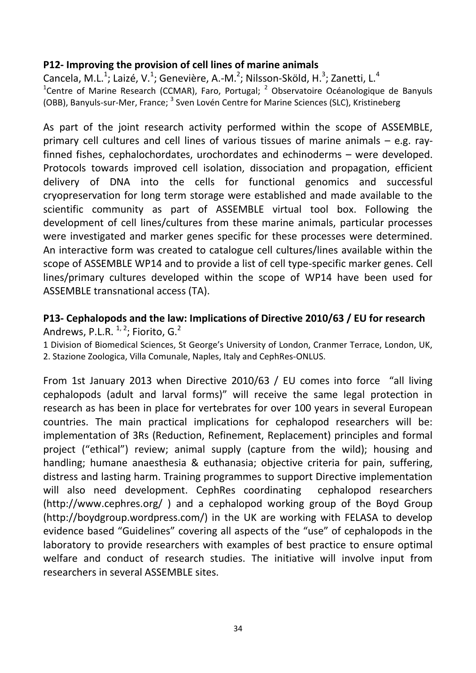#### **P12- Improving the provision of cell lines of marine animals**

Cancela, M.L.<sup>1</sup>; Laizé, V.<sup>1</sup>; Genevière, A.-M.<sup>2</sup>; Nilsson-Sköld, H.<sup>3</sup>; Zanetti, L.<sup>4</sup> <sup>1</sup>Centre of Marine Research (CCMAR), Faro, Portugal; <sup>2</sup> Observatoire Océanologique de Banyuls (OBB), Banyuls-sur-Mer, France; <sup>3</sup> Sven Lovén Centre for Marine Sciences (SLC), Kristineberg

As part of the joint research activity performed within the scope of ASSEMBLE, primary cell cultures and cell lines of various tissues of marine animals – e.g. rayfinned fishes, cephalochordates, urochordates and echinoderms – were developed. Protocols towards improved cell isolation, dissociation and propagation, efficient delivery of DNA into the cells for functional genomics and successful cryopreservation for long term storage were established and made available to the scientific community as part of ASSEMBLE virtual tool box. Following the development of cell lines/cultures from these marine animals, particular processes were investigated and marker genes specific for these processes were determined. An interactive form was created to catalogue cell cultures/lines available within the scope of ASSEMBLE WP14 and to provide a list of cell type-specific marker genes. Cell lines/primary cultures developed within the scope of WP14 have been used for ASSEMBLE transnational access (TA).

# **P13- Cephalopods and the law: Implications of Directive 2010/63 / EU for research** Andrews, P.L.R.  $^{1, 2}$ ; Fiorito, G.<sup>2</sup>

1 Division of Biomedical Sciences, St George's University of London, Cranmer Terrace, London, UK, 2. Stazione Zoologica, Villa Comunale, Naples, Italy and CephRes-ONLUS.

From 1st January 2013 when Directive 2010/63 / EU comes into force "all living cephalopods (adult and larval forms)" will receive the same legal protection in research as has been in place for vertebrates for over 100 years in several European countries. The main practical implications for cephalopod researchers will be: implementation of 3Rs (Reduction, Refinement, Replacement) principles and formal project ("ethical") review; animal supply (capture from the wild); housing and handling; humane anaesthesia & euthanasia; objective criteria for pain, suffering, distress and lasting harm. Training programmes to support Directive implementation will also need development. CephRes coordinating cephalopod researchers (http://www.cephres.org/ ) and a cephalopod working group of the Boyd Group (http://boydgroup.wordpress.com/) in the UK are working with FELASA to develop evidence based "Guidelines" covering all aspects of the "use" of cephalopods in the laboratory to provide researchers with examples of best practice to ensure optimal welfare and conduct of research studies. The initiative will involve input from researchers in several ASSEMBLE sites.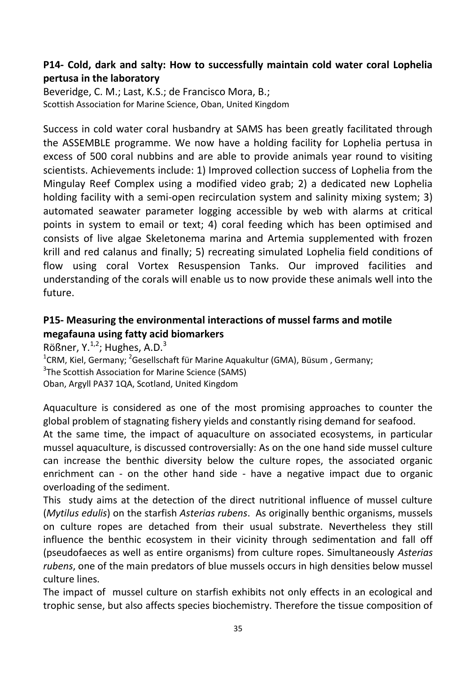# **P14- Cold, dark and salty: How to successfully maintain cold water coral Lophelia pertusa in the laboratory**

Beveridge, C. M.; Last, K.S.; de Francisco Mora, B.; Scottish Association for Marine Science, Oban, United Kingdom

Success in cold water coral husbandry at SAMS has been greatly facilitated through the ASSEMBLE programme. We now have a holding facility for Lophelia pertusa in excess of 500 coral nubbins and are able to provide animals year round to visiting scientists. Achievements include: 1) Improved collection success of Lophelia from the Mingulay Reef Complex using a modified video grab; 2) a dedicated new Lophelia holding facility with a semi-open recirculation system and salinity mixing system; 3) automated seawater parameter logging accessible by web with alarms at critical points in system to email or text; 4) coral feeding which has been optimised and consists of live algae Skeletonema marina and Artemia supplemented with frozen krill and red calanus and finally; 5) recreating simulated Lophelia field conditions of flow using coral Vortex Resuspension Tanks. Our improved facilities and understanding of the corals will enable us to now provide these animals well into the future.

# **P15- Measuring the environmental interactions of mussel farms and motile megafauna using fatty acid biomarkers**

Rößner, Y. $^{1,2}$ ; Hughes, A.D. $^{3}$ 

<sup>1</sup>CRM, Kiel, Germany; <sup>2</sup>Gesellschaft für Marine Aquakultur (GMA), Büsum, Germany; <sup>3</sup>The Scottish Association for Marine Science (SAMS) Oban, Argyll PA37 1QA, Scotland, United Kingdom

Aquaculture is considered as one of the most promising approaches to counter the global problem of stagnating fishery yields and constantly rising demand for seafood.

At the same time, the impact of aquaculture on associated ecosystems, in particular mussel aquaculture, is discussed controversially: As on the one hand side mussel culture can increase the benthic diversity below the culture ropes, the associated organic enrichment can - on the other hand side - have a negative impact due to organic overloading of the sediment.

This study aims at the detection of the direct nutritional influence of mussel culture (*Mytilus edulis*) on the starfish *Asterias rubens*. As originally benthic organisms, mussels on culture ropes are detached from their usual substrate. Nevertheless they still influence the benthic ecosystem in their vicinity through sedimentation and fall off (pseudofaeces as well as entire organisms) from culture ropes. Simultaneously *Asterias rubens*, one of the main predators of blue mussels occurs in high densities below mussel culture lines.

The impact of mussel culture on starfish exhibits not only effects in an ecological and trophic sense, but also affects species biochemistry. Therefore the tissue composition of